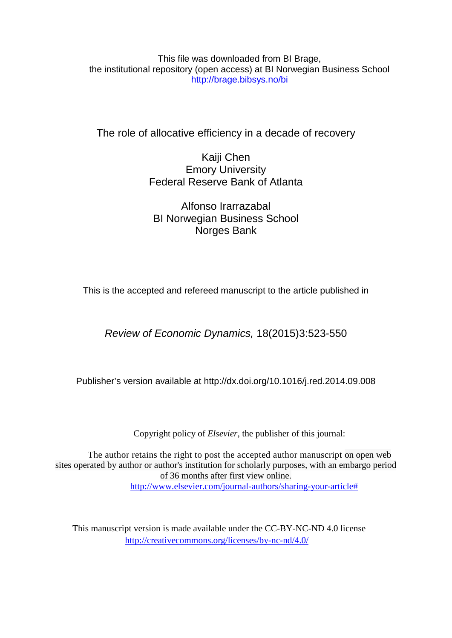This file was downloaded from BI Brage, the institutional repository (open access) at BI Norwegian Business School http://brage.bibsys.no/bi

The role of allocative efficiency in a decade of recovery

Kaiji Chen Emory University Federal Reserve Bank of Atlanta

Alfonso Irarrazabal BI Norwegian Business School Norges Bank

This is the accepted and refereed manuscript to the article published in

*Review of Economic Dynamics,* 18(2015)3:523-550

Publisher's version available at http://dx.doi.org[/10.1016/j.red.2014.09.008](http://dx.doi.org.ezproxy.library.bi.no/10.1016/j.red.2014.09.008)

Copyright policy of *Elsevier,* the publisher of this journal:

The author retains the right to post the accepted author manuscript on open web sites operated by author or author's institution for scholarly purposes, with an embargo period of 36 months after first view online. [http://www.elsevier.com/journal-authors/sharing-your-article#](http://www.elsevier.com/journal-authors/sharing-your-article)

This manuscript version is made available under the CC-BY-NC-ND 4.0 license <http://creativecommons.org/licenses/by-nc-nd/4.0/>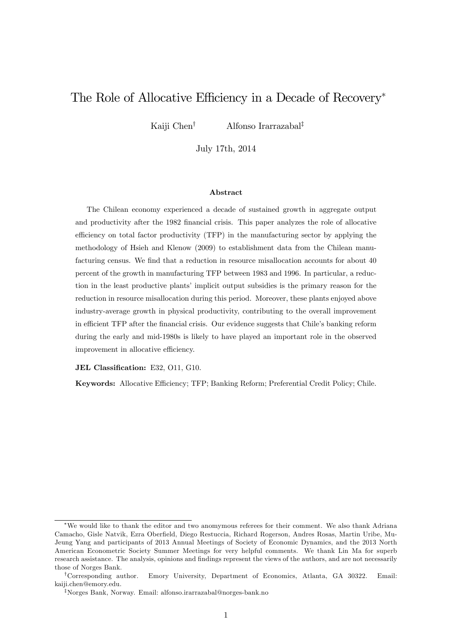# The Role of Allocative Efficiency in a Decade of Recovery<sup>\*</sup>

Kaiji Chen<sup>†</sup> Alfonso Irarrazabal<sup>‡</sup>

July 17th, 2014

#### Abstract

The Chilean economy experienced a decade of sustained growth in aggregate output and productivity after the 1982 Önancial crisis. This paper analyzes the role of allocative efficiency on total factor productivity (TFP) in the manufacturing sector by applying the methodology of Hsieh and Klenow (2009) to establishment data from the Chilean manufacturing census. We find that a reduction in resource misallocation accounts for about 40 percent of the growth in manufacturing TFP between 1983 and 1996. In particular, a reduction in the least productive plants' implicit output subsidies is the primary reason for the reduction in resource misallocation during this period. Moreover, these plants enjoyed above industry-average growth in physical productivity, contributing to the overall improvement in efficient TFP after the financial crisis. Our evidence suggests that Chile's banking reform during the early and mid-1980s is likely to have played an important role in the observed improvement in allocative efficiency.

JEL Classification: E32, O11, G10.

Keywords: Allocative Efficiency; TFP; Banking Reform; Preferential Credit Policy; Chile.

We would like to thank the editor and two anomymous referees for their comment. We also thank Adriana Camacho, Gisle Natvik, Ezra Oberfield, Diego Restuccia, Richard Rogerson, Andres Rosas, Martin Uribe, Mu-Jeung Yang and participants of 2013 Annual Meetings of Society of Economic Dynamics, and the 2013 North American Econometric Society Summer Meetings for very helpful comments. We thank Lin Ma for superb research assistance. The analysis, opinions and findings represent the views of the authors, and are not necessarily those of Norges Bank.

<sup>y</sup>Corresponding author. Emory University, Department of Economics, Atlanta, GA 30322. Email: kaiji.chen@emory.edu.

<sup>&</sup>lt;sup>‡</sup>Norges Bank, Norway. Email: alfonso.irarrazabal@norges-bank.no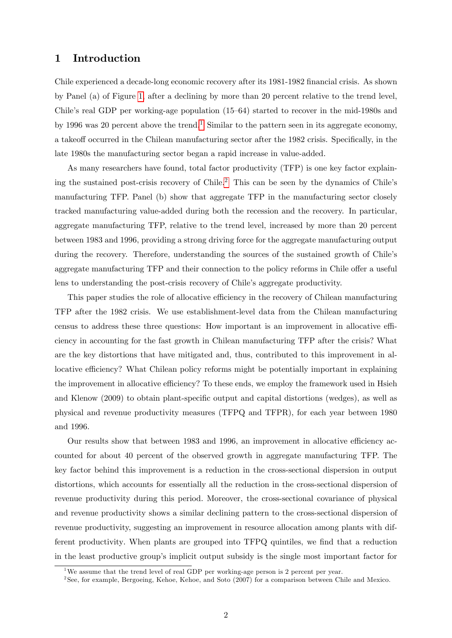# 1 Introduction

Chile experienced a decade-long economic recovery after its 1981-1982 Önancial crisis. As shown by Panel (a) of Figure [1,](#page-47-0) after a declining by more than 20 percent relative to the trend level, Chile's real GDP per working-age population  $(15–64)$  started to recover in the mid-1980s and by [1](#page-2-0)996 was 20 percent above the trend.<sup>1</sup> Similar to the pattern seen in its aggregate economy, a takeoff occurred in the Chilean manufacturing sector after the 1982 crisis. Specifically, in the late 1980s the manufacturing sector began a rapid increase in value-added.

As many researchers have found, total factor productivity (TFP) is one key factor explain-ing the sustained post-crisis recovery of Chile.<sup>[2](#page-2-1)</sup> This can be seen by the dynamics of Chile's manufacturing TFP. Panel (b) show that aggregate TFP in the manufacturing sector closely tracked manufacturing value-added during both the recession and the recovery. In particular, aggregate manufacturing TFP, relative to the trend level, increased by more than 20 percent between 1983 and 1996, providing a strong driving force for the aggregate manufacturing output during the recovery. Therefore, understanding the sources of the sustained growth of Chile's aggregate manufacturing TFP and their connection to the policy reforms in Chile offer a useful lens to understanding the post-crisis recovery of Chile's aggregate productivity.

This paper studies the role of allocative efficiency in the recovery of Chilean manufacturing TFP after the 1982 crisis. We use establishment-level data from the Chilean manufacturing census to address these three questions: How important is an improvement in allocative efficiency in accounting for the fast growth in Chilean manufacturing TFP after the crisis? What are the key distortions that have mitigated and, thus, contributed to this improvement in allocative efficiency? What Chilean policy reforms might be potentially important in explaining the improvement in allocative efficiency? To these ends, we employ the framework used in Hsieh and Klenow (2009) to obtain plant-specific output and capital distortions (wedges), as well as physical and revenue productivity measures (TFPQ and TFPR), for each year between 1980 and 1996.

Our results show that between 1983 and 1996, an improvement in allocative efficiency accounted for about 40 percent of the observed growth in aggregate manufacturing TFP. The key factor behind this improvement is a reduction in the cross-sectional dispersion in output distortions, which accounts for essentially all the reduction in the cross-sectional dispersion of revenue productivity during this period: Moreover, the cross-sectional covariance of physical and revenue productivity shows a similar declining pattern to the cross-sectional dispersion of revenue productivity, suggesting an improvement in resource allocation among plants with different productivity. When plants are grouped into TFPQ quintiles, we find that a reduction in the least productive groupís implicit output subsidy is the single most important factor for

<span id="page-2-0"></span><sup>&</sup>lt;sup>1</sup>We assume that the trend level of real GDP per working-age person is 2 percent per year.

<span id="page-2-1"></span><sup>&</sup>lt;sup>2</sup> See, for example, Bergoeing, Kehoe, Kehoe, and Soto (2007) for a comparison between Chile and Mexico.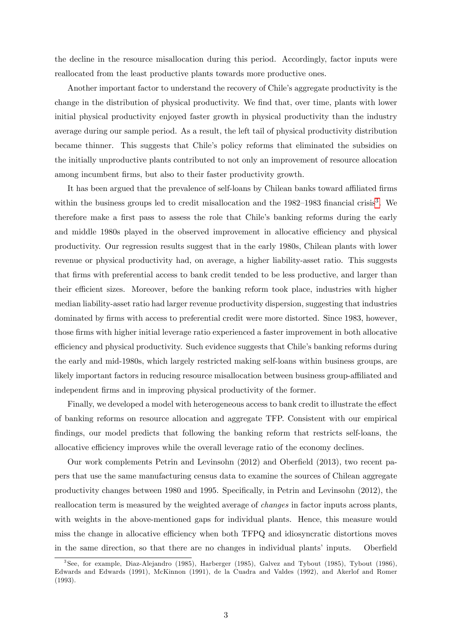the decline in the resource misallocation during this period. Accordingly, factor inputs were reallocated from the least productive plants towards more productive ones.

Another important factor to understand the recovery of Chile's aggregate productivity is the change in the distribution of physical productivity. We find that, over time, plants with lower initial physical productivity enjoyed faster growth in physical productivity than the industry average during our sample period. As a result, the left tail of physical productivity distribution became thinner. This suggests that Chileís policy reforms that eliminated the subsidies on the initially unproductive plants contributed to not only an improvement of resource allocation among incumbent firms, but also to their faster productivity growth.

It has been argued that the prevalence of self-loans by Chilean banks toward affiliated firms within the business groups led to credit misallocation and the  $1982-1983$  $1982-1983$  financial crisis<sup>3</sup>. We therefore make a first pass to assess the role that Chile's banking reforms during the early and middle 1980s played in the observed improvement in allocative efficiency and physical productivity. Our regression results suggest that in the early 1980s, Chilean plants with lower revenue or physical productivity had, on average, a higher liability-asset ratio. This suggests that Örms with preferential access to bank credit tended to be less productive, and larger than their efficient sizes. Moreover, before the banking reform took place, industries with higher median liability-asset ratio had larger revenue productivity dispersion, suggesting that industries dominated by firms with access to preferential credit were more distorted. Since 1983, however, those Örms with higher initial leverage ratio experienced a faster improvement in both allocative efficiency and physical productivity. Such evidence suggests that Chile's banking reforms during the early and mid-1980s, which largely restricted making self-loans within business groups, are likely important factors in reducing resource misallocation between business group-affiliated and independent firms and in improving physical productivity of the former.

Finally, we developed a model with heterogeneous access to bank credit to illustrate the effect of banking reforms on resource allocation and aggregate TFP. Consistent with our empirical findings, our model predicts that following the banking reform that restricts self-loans, the allocative efficiency improves while the overall leverage ratio of the economy declines.

Our work complements Petrin and Levinsohn  $(2012)$  and Oberfield  $(2013)$ , two recent papers that use the same manufacturing census data to examine the sources of Chilean aggregate productivity changes between 1980 and 1995. Specifically, in Petrin and Levinsohn (2012), the reallocation term is measured by the weighted average of changes in factor inputs across plants, with weights in the above-mentioned gaps for individual plants. Hence, this measure would miss the change in allocative efficiency when both TFPQ and idiosyncratic distortions moves in the same direction, so that there are no changes in individual plants' inputs. Oberfield

<span id="page-3-0"></span><sup>3</sup> See, for example, Diaz-Alejandro (1985), Harberger (1985), Galvez and Tybout (1985), Tybout (1986), Edwards and Edwards (1991), McKinnon (1991), de la Cuadra and Valdes (1992), and Akerlof and Romer (1993).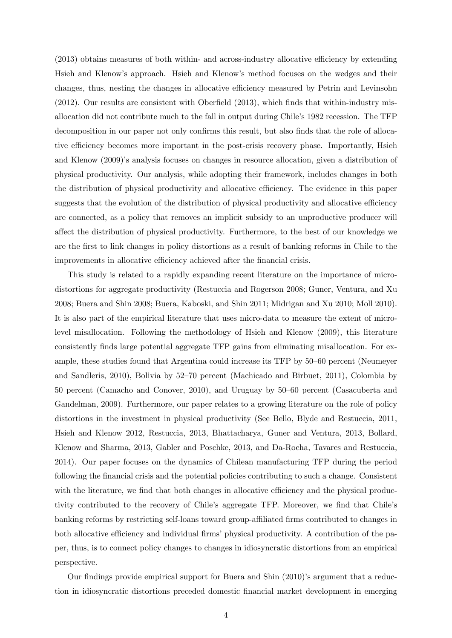$(2013)$  obtains measures of both within- and across-industry allocative efficiency by extending Hsieh and Klenowís approach. Hsieh and Klenowís method focuses on the wedges and their changes, thus, nesting the changes in allocative efficiency measured by Petrin and Levinsohn  $(2012)$ . Our results are consistent with Oberfield  $(2013)$ , which finds that within-industry misallocation did not contribute much to the fall in output during Chileís 1982 recession. The TFP decomposition in our paper not only confirms this result, but also finds that the role of allocative efficiency becomes more important in the post-crisis recovery phase. Importantly, Hsieh and Klenow (2009)'s analysis focuses on changes in resource allocation, given a distribution of physical productivity. Our analysis, while adopting their framework, includes changes in both the distribution of physical productivity and allocative efficiency. The evidence in this paper suggests that the evolution of the distribution of physical productivity and allocative efficiency are connected, as a policy that removes an implicit subsidy to an unproductive producer will a§ect the distribution of physical productivity. Furthermore, to the best of our knowledge we are the first to link changes in policy distortions as a result of banking reforms in Chile to the improvements in allocative efficiency achieved after the financial crisis.

This study is related to a rapidly expanding recent literature on the importance of microdistortions for aggregate productivity (Restuccia and Rogerson 2008; Guner, Ventura, and Xu 2008; Buera and Shin 2008; Buera, Kaboski, and Shin 2011; Midrigan and Xu 2010; Moll 2010). It is also part of the empirical literature that uses micro-data to measure the extent of microlevel misallocation. Following the methodology of Hsieh and Klenow (2009), this literature consistently finds large potential aggregate TFP gains from eliminating misallocation. For example, these studies found that Argentina could increase its TFP by 50–60 percent (Neumeyer and Sandleris,  $2010$ ), Bolivia by  $52-70$  percent (Machicado and Birbuet,  $2011$ ), Colombia by  $50$  percent (Camacho and Conover, 2010), and Uruguay by  $50-60$  percent (Casacuberta and Gandelman, 2009). Furthermore, our paper relates to a growing literature on the role of policy distortions in the investment in physical productivity (See Bello, Blyde and Restuccia, 2011, Hsieh and Klenow 2012, Restuccia, 2013, Bhattacharya, Guner and Ventura, 2013, Bollard, Klenow and Sharma, 2013, Gabler and Poschke, 2013, and Da-Rocha, Tavares and Restuccia, 2014). Our paper focuses on the dynamics of Chilean manufacturing TFP during the period following the Önancial crisis and the potential policies contributing to such a change. Consistent with the literature, we find that both changes in allocative efficiency and the physical productivity contributed to the recovery of Chile's aggregate TFP. Moreover, we find that Chile's banking reforms by restricting self-loans toward group-affiliated firms contributed to changes in both allocative efficiency and individual firms' physical productivity. A contribution of the paper, thus, is to connect policy changes to changes in idiosyncratic distortions from an empirical perspective.

Our findings provide empirical support for Buera and Shin (2010)'s argument that a reduction in idiosyncratic distortions preceded domestic Önancial market development in emerging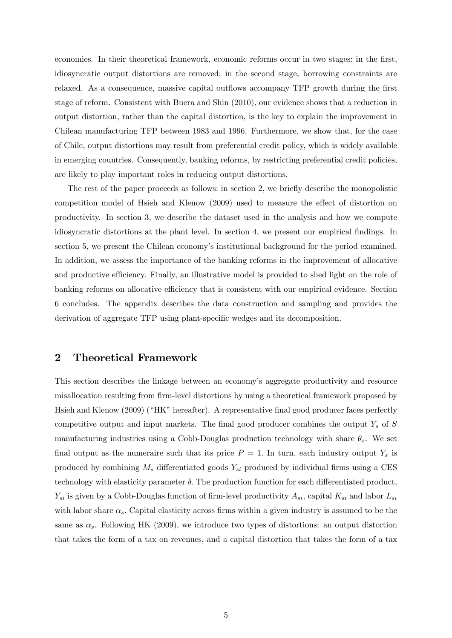economies. In their theoretical framework, economic reforms occur in two stages: in the first, idiosyncratic output distortions are removed; in the second stage, borrowing constraints are relaxed. As a consequence, massive capital outflows accompany TFP growth during the first stage of reform. Consistent with Buera and Shin (2010), our evidence shows that a reduction in output distortion, rather than the capital distortion, is the key to explain the improvement in Chilean manufacturing TFP between 1983 and 1996. Furthermore, we show that, for the case of Chile, output distortions may result from preferential credit policy, which is widely available in emerging countries. Consequently, banking reforms, by restricting preferential credit policies, are likely to play important roles in reducing output distortions.

The rest of the paper proceeds as follows: in section 2, we briefly describe the monopolistic competition model of Hsieh and Klenow (2009) used to measure the effect of distortion on productivity. In section 3, we describe the dataset used in the analysis and how we compute idiosyncratic distortions at the plant level. In section 4, we present our empirical Öndings. In section 5, we present the Chilean economy's institutional background for the period examined. In addition, we assess the importance of the banking reforms in the improvement of allocative and productive efficiency. Finally, an illustrative model is provided to shed light on the role of banking reforms on allocative efficiency that is consistent with our empirical evidence. Section 6 concludes. The appendix describes the data construction and sampling and provides the derivation of aggregate TFP using plant-specific wedges and its decomposition.

# 2 Theoretical Framework

This section describes the linkage between an economyís aggregate productivity and resource misallocation resulting from firm-level distortions by using a theoretical framework proposed by Hsieh and Klenow (2009) ("HK" hereafter). A representative final good producer faces perfectly competitive output and input markets. The final good producer combines the output  $Y_s$  of S manufacturing industries using a Cobb-Douglas production technology with share  $\theta_s$ . We set final output as the numeraire such that its price  $P = 1$ . In turn, each industry output  $Y_s$  is produced by combining  $M_s$  differentiated goods  $Y_{si}$  produced by individual firms using a CES technology with elasticity parameter  $\delta$ . The production function for each differentiated product,  $Y_{si}$  is given by a Cobb-Douglas function of firm-level productivity  $A_{si}$ , capital  $K_{si}$  and labor  $L_{si}$ with labor share  $\alpha_s$ . Capital elasticity across firms within a given industry is assumed to be the same as  $\alpha_s$ . Following HK (2009), we introduce two types of distortions: an output distortion that takes the form of a tax on revenues, and a capital distortion that takes the form of a tax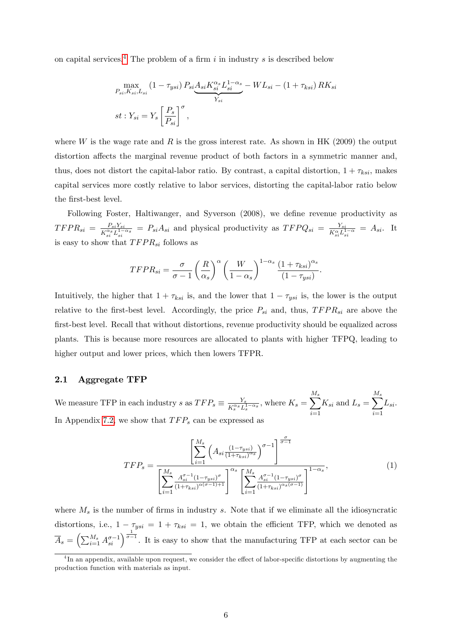on capital services.<sup>[4](#page-6-0)</sup> The problem of a firm i in industry s is described below

$$
\max_{P_{si}, K_{si}, L_{si}} (1 - \tau_{ysi}) P_{si} \underbrace{A_{si} K_{si}^{\alpha_s} L_{si}^{1 - \alpha_s}}_{Y_{si}} - WL_{si} - (1 + \tau_{ksi}) R K_{si}
$$
\n
$$
st : Y_{si} = Y_s \left[ \frac{P_s}{P_{si}} \right]^{\sigma},
$$

where W is the wage rate and R is the gross interest rate. As shown in HK (2009) the output distortion affects the marginal revenue product of both factors in a symmetric manner and, thus, does not distort the capital-labor ratio. By contrast, a capital distortion,  $1 + \tau_{ksi}$ , makes capital services more costly relative to labor services, distorting the capital-labor ratio below the first-best level.

Following Foster, Haltiwanger, and Syverson (2008), we define revenue productivity as  $TFPR_{si} = \frac{P_{si}Y_{si}}{K^{\alpha_{s}}I^{1-\alpha_{s}}}$  $\frac{P_{si}Y_{si}}{K_{si}^{a_s}L_{si}^{1-\alpha_s}} = P_{si}A_{si}$  and physical productivity as  $TFPQ_{si} = \frac{Y_{si}}{K_{si}^{\alpha}L_{s}^{1-\alpha_s}}$  $\frac{Y_{si}}{K_{si}^{\alpha}L_{si}^{1-\alpha}} = A_{si}.$  It is easy to show that  $TFPR_{si}$  follows as

$$
TFPR_{si} = \frac{\sigma}{\sigma - 1} \left(\frac{R}{\alpha_s}\right)^{\alpha} \left(\frac{W}{1 - \alpha_s}\right)^{1 - \alpha_s} \frac{\left(1 + \tau_{ksi}\right)^{\alpha_s}}{\left(1 - \tau_{ysi}\right)}.
$$

Intuitively, the higher that  $1 + \tau_{ksi}$  is, and the lower that  $1 - \tau_{ysi}$  is, the lower is the output relative to the first-best level. Accordingly, the price  $P_{si}$  and, thus,  $TFPR_{si}$  are above the first-best level. Recall that without distortions, revenue productivity should be equalized across plants. This is because more resources are allocated to plants with higher TFPQ, leading to higher output and lower prices, which then lowers TFPR.

# 2.1 Aggregate TFP

We measure TFP in each industry s as  $TFP_s \equiv \frac{Y_s}{K_s^{cs} L_s^2}$  $\frac{Y_s}{K_s^{\alpha_s}L_s^{1-\alpha_s}}, \text{where } K_s = \sum^{M_s}$  $i=1$  $K_{si}$  and  $L_s = \sum^{M_s}$  $i=1$  $L_{si}.$ In Appendix [7.2,](#page-33-0) we show that  $TFP_s$  can be expressed as

<span id="page-6-1"></span>
$$
TFP_s = \frac{\left[\sum_{i=1}^{M_s} \left(A_{si} \frac{(1-\tau_{ysi})}{(1+\tau_{ksi})^{\alpha_s}}\right)^{\sigma-1}\right]^{\frac{\sigma}{\sigma-1}}}{\left[\sum_{i=1}^{M_s} \frac{A_{si}^{\sigma-1} (1-\tau_{ysi})^{\sigma}}{(1+\tau_{ksi})^{\alpha(\sigma-1)+1}}\right]^{\alpha_s} \left[\sum_{i=1}^{M_s} \frac{A_{si}^{\sigma-1} (1-\tau_{ysi})^{\sigma}}{(1+\tau_{ksi})^{\alpha(s(\sigma-1)})}\right]^{1-\alpha_s}},\tag{1}
$$

where  $M_s$  is the number of firms in industry s. Note that if we eliminate all the idiosyncratic distortions, i.e.,  $1 - \tau_{ysi} = 1 + \tau_{ksi} = 1$ , we obtain the efficient TFP, which we denoted as  $\overline{A}_s = \left(\sum_{i=1}^{M_s} A_{si}^{\sigma-1}\right)^{\frac{1}{\sigma-1}}$ . It is easy to show that the manufacturing TFP at each sector can be

<span id="page-6-0"></span><sup>&</sup>lt;sup>4</sup>In an appendix, available upon request, we consider the effect of labor-specific distortions by augmenting the production function with materials as input.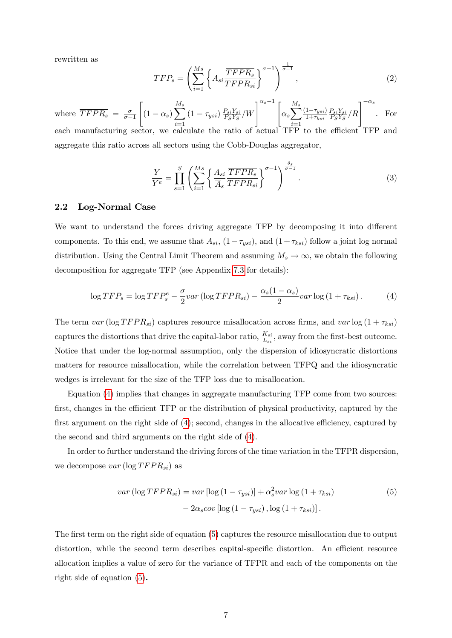rewritten as

$$
TFP_s = \left(\sum_{i=1}^{Ms} \left\{ A_{si} \frac{\overline{TFPR_s}}{\overline{TFPR_{si}}} \right\}^{\sigma - 1} \right)^{\frac{1}{\sigma - 1}},\tag{2}
$$

where  $\overline{TFPR_s} = \frac{\sigma}{\sigma - 1}$  $\sigma-1$  $\sqrt{ }$  $(1-\alpha_s)\sum^{M_s}$  $i=1$  $(1-\tau_{ysi})\frac{P_{si}Y_{si}}{P_{S}Y_{S}}$  $\frac{P_{si}Y_{si}}{P_{S}Y_{S}}/W\Bigg]^{\alpha_{s}-1}\Bigg[\alpha_{s}\displaystyle{\sum}^{M_{s}}% \Bigg[\frac{P_{si}Y_{si}}% {P_{s}Y_{S}}% V_{s}^{M}\Bigg]\Bigg]^{1/2}\Bigg], \label{eq:4.12}%$  $i=1$  $\frac{(1-\tau_{ysi})}{1+\tau_{ksi}}$  $P_{si}Y_{si}$  $\frac{P_{si}Y_{si}}{P_{S}Y_{S}}/R$ . For each manufacturing sector, we calculate the ratio of actual TFP to the efficient TFP and aggregate this ratio across all sectors using the Cobb-Douglas aggregator,

$$
\frac{Y}{Y^e} = \prod_{s=1}^S \left( \sum_{i=1}^{Ms} \left\{ \frac{A_{si}}{\overline{A}_s} \frac{\overline{TFPR_s}}{\overline{TFPR_{si}}} \right\}^{\sigma - 1} \right)^{\frac{\theta_s}{\sigma - 1}}.
$$
\n(3)

### 2.2 Log-Normal Case

We want to understand the forces driving aggregate TFP by decomposing it into different components. To this end, we assume that  $A_{si}$ ,  $(1 - \tau_{ysi})$ , and  $(1 + \tau_{ksi})$  follow a joint log normal distribution. Using the Central Limit Theorem and assuming  $M_s \to \infty$ , we obtain the following decomposition for aggregate TFP (see Appendix [7.3](#page-36-0) for details):

<span id="page-7-0"></span>
$$
\log TFP_s = \log TFP_s^e - \frac{\sigma}{2}var\left(\log TFPR_{si}\right) - \frac{\alpha_s(1-\alpha_s)}{2}var\log\left(1+\tau_{ksi}\right). \tag{4}
$$

The term var ( $\log T FPR_{si}$ ) captures resource misallocation across firms, and var  $\log (1 + \tau_{ksi})$ captures the distortions that drive the capital-labor ratio,  $\frac{K_{si}}{L_{si}}$ , away from the first-best outcome. Notice that under the log-normal assumption, only the dispersion of idiosyncratic distortions matters for resource misallocation, while the correlation between TFPQ and the idiosyncratic wedges is irrelevant for the size of the TFP loss due to misallocation.

Equation [\(4\)](#page-7-0) implies that changes in aggregate manufacturing TFP come from two sources: first, changes in the efficient TFP or the distribution of physical productivity, captured by the first argument on the right side of  $(4)$ ; second, changes in the allocative efficiency, captured by the second and third arguments on the right side of [\(4\)](#page-7-0).

In order to further understand the driving forces of the time variation in the TFPR dispersion; we decompose  $var(\log T FPR_{si})$  as

<span id="page-7-1"></span>
$$
var\left(\log TFPR_{si}\right) = var\left[\log\left(1 - \tau_{ysi}\right)\right] + \alpha_s^2 var \log\left(1 + \tau_{ksi}\right) - 2\alpha_s cov\left[\log\left(1 - \tau_{ysi}\right), \log\left(1 + \tau_{ksi}\right)\right].
$$
\n(5)

The first term on the right side of equation [\(5\)](#page-7-1) captures the resource misallocation due to output distortion, while the second term describes capital-specific distortion. An efficient resource allocation implies a value of zero for the variance of TFPR and each of the components on the right side of equation [\(5\)](#page-7-1).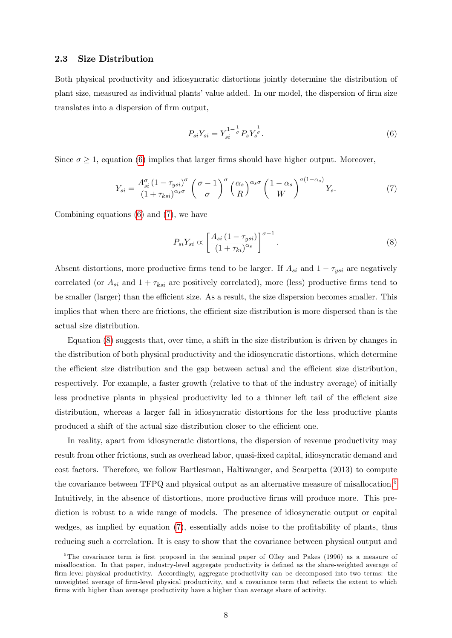#### 2.3 Size Distribution

Both physical productivity and idiosyncratic distortions jointly determine the distribution of plant size, measured as individual plants' value added. In our model, the dispersion of firm size translates into a dispersion of firm output,

<span id="page-8-0"></span>
$$
P_{si}Y_{si} = Y_{si}^{1-\frac{1}{\sigma}} P_s Y_s^{\frac{1}{\sigma}}.
$$
\n(6)

Since  $\sigma \geq 1$ , equation [\(6\)](#page-8-0) implies that larger firms should have higher output. Moreover,

<span id="page-8-1"></span>
$$
Y_{si} = \frac{A_{si}^{\sigma} (1 - \tau_{ysi})^{\sigma}}{(1 + \tau_{ksi})^{\alpha_s \sigma}} \left(\frac{\sigma - 1}{\sigma}\right)^{\sigma} \left(\frac{\alpha_s}{R}\right)^{\alpha_s \sigma} \left(\frac{1 - \alpha_s}{W}\right)^{\sigma (1 - \alpha_s)} Y_s.
$$
 (7)

Combining equations [\(6\)](#page-8-0) and [\(7\)](#page-8-1), we have

<span id="page-8-2"></span>
$$
P_{si}Y_{si} \propto \left[\frac{A_{si}(1-\tau_{ysi})}{\left(1+\tau_{ki}\right)^{\alpha_s}}\right]^{\sigma-1}.\tag{8}
$$

Absent distortions, more productive firms tend to be larger. If  $A_{si}$  and  $1 - \tau_{ysi}$  are negatively correlated (or  $A_{si}$  and  $1 + \tau_{ksi}$  are positively correlated), more (less) productive firms tend to be smaller (larger) than the efficient size. As a result, the size dispersion becomes smaller. This implies that when there are frictions, the efficient size distribution is more dispersed than is the actual size distribution.

Equation [\(8\)](#page-8-2) suggests that, over time, a shift in the size distribution is driven by changes in the distribution of both physical productivity and the idiosyncratic distortions, which determine the efficient size distribution and the gap between actual and the efficient size distribution, respectively. For example, a faster growth (relative to that of the industry average) of initially less productive plants in physical productivity led to a thinner left tail of the efficient size distribution, whereas a larger fall in idiosyncratic distortions for the less productive plants produced a shift of the actual size distribution closer to the efficient one.

In reality, apart from idiosyncratic distortions, the dispersion of revenue productivity may result from other frictions, such as overhead labor, quasi-Öxed capital, idiosyncratic demand and cost factors. Therefore, we follow Bartlesman, Haltiwanger, and Scarpetta (2013) to compute the covariance between TFPQ and physical output as an alternative measure of misallocation.<sup>[5](#page-8-3)</sup> Intuitively, in the absence of distortions, more productive firms will produce more. This prediction is robust to a wide range of models. The presence of idiosyncratic output or capital wedges, as implied by equation  $(7)$ , essentially adds noise to the profitability of plants, thus reducing such a correlation. It is easy to show that the covariance between physical output and

<span id="page-8-3"></span><sup>&</sup>lt;sup>5</sup>The covariance term is first proposed in the seminal paper of Olley and Pakes (1996) as a measure of misallocation. In that paper, industry-level aggregate productivity is defined as the share-weighted average of firm-level physical productivity. Accordingly, aggregate productivity can be decomposed into two terms: the unweighted average of firm-level physical productivity, and a covariance term that reflects the extent to which firms with higher than average productivity have a higher than average share of activity.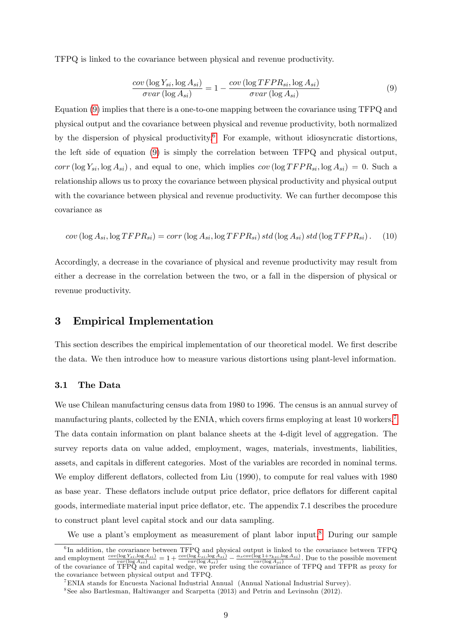TFPQ is linked to the covariance between physical and revenue productivity.

<span id="page-9-0"></span>
$$
\frac{cov\left(\log Y_{si}, \log A_{si}\right)}{\sigma var\left(\log A_{si}\right)} = 1 - \frac{cov\left(\log TFPR_{si}, \log A_{si}\right)}{\sigma var\left(\log A_{si}\right)}\tag{9}
$$

Equation [\(9\)](#page-9-0) implies that there is a one-to-one mapping between the covariance using TFPQ and physical output and the covariance between physical and revenue productivity, both normalized by the dispersion of physical productivity.<sup>[6](#page-9-1)</sup> For example, without idiosyncratic distortions, the left side of equation [\(9\)](#page-9-0) is simply the correlation between TFPQ and physical output, corr (log  $Y_{si}$ , log  $A_{si}$ ), and equal to one, which implies cov (log TFPR<sub>si</sub>, log  $A_{si}$ ) = 0. Such a relationship allows us to proxy the covariance between physical productivity and physical output with the covariance between physical and revenue productivity. We can further decompose this covariance as

$$
cov (\log A_{si}, \log TFPR_{si}) = corr (\log A_{si}, \log TFPR_{si}) std (\log A_{si}) std (\log TFPR_{si}). \quad (10)
$$

Accordingly, a decrease in the covariance of physical and revenue productivity may result from either a decrease in the correlation between the two, or a fall in the dispersion of physical or revenue productivity.

# 3 Empirical Implementation

This section describes the empirical implementation of our theoretical model. We first describe the data. We then introduce how to measure various distortions using plant-level information.

# 3.1 The Data

We use Chilean manufacturing census data from 1980 to 1996. The census is an annual survey of manufacturing plants, collected by the ENIA, which covers firms employing at least 10 workers.<sup>[7](#page-9-2)</sup> The data contain information on plant balance sheets at the 4-digit level of aggregation. The survey reports data on value added, employment, wages, materials, investments, liabilities, assets, and capitals in different categories. Most of the variables are recorded in nominal terms. We employ different deflators, collected from Liu (1990), to compute for real values with 1980 as base year. These deflators include output price deflator, price deflators for different capital goods, intermediate material input price deáator, etc. The appendix 7.1 describes the procedure to construct plant level capital stock and our data sampling.

We use a plant's employment as measurement of plant labor input.<sup>[8](#page-9-3)</sup> During our sample

<span id="page-9-1"></span><sup>&</sup>lt;sup>6</sup>In addition, the covariance between TFPQ and physical output is linked to the covariance between TFPQ and employment  $\frac{cov(\log Y_{si}, \log A_{si})}{var(\log A_{si})} = 1 + \frac{cov(\log L_{si}, \log A_{si})}{var(\log A_{si})} - \frac{\alpha_s cov(\log 1 + \tau_{ksi}, \log A_{si})}{var(\log A_{si})}$ . Due to the possible movement of the covariance of TFPQ and capital wedge, we prefer using the covariance of TFPQ and TFPR as proxy for the covariance between physical output and TFPQ.

<span id="page-9-2"></span><sup>7</sup>ENIA stands for Encuesta Nacional Industrial Annual (Annual National Industrial Survey).

<span id="page-9-3"></span><sup>8</sup> See also Bartlesman, Haltiwanger and Scarpetta (2013) and Petrin and Levinsohn (2012).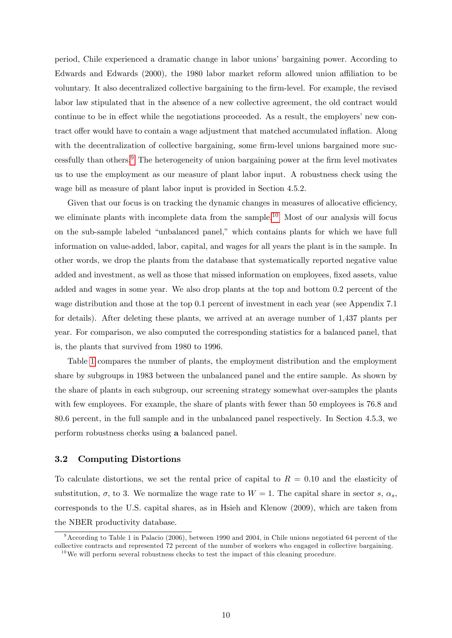period, Chile experienced a dramatic change in labor unionsíbargaining power. According to Edwards and Edwards (2000), the 1980 labor market reform allowed union affiliation to be voluntary. It also decentralized collective bargaining to the Örm-level. For example, the revised labor law stipulated that in the absence of a new collective agreement, the old contract would continue to be in effect while the negotiations proceeded. As a result, the employers' new contract offer would have to contain a wage adjustment that matched accumulated inflation. Along with the decentralization of collective bargaining, some firm-level unions bargained more suc-cessfully than others.<sup>[9](#page-10-0)</sup> The heterogeneity of union bargaining power at the firm level motivates us to use the employment as our measure of plant labor input. A robustness check using the wage bill as measure of plant labor input is provided in Section 4.5.2.

Given that our focus is on tracking the dynamic changes in measures of allocative efficiency, we eliminate plants with incomplete data from the sample.<sup>[10](#page-10-1)</sup> Most of our analysis will focus on the sub-sample labeled "unbalanced panel," which contains plants for which we have full information on value-added, labor, capital, and wages for all years the plant is in the sample. In other words, we drop the plants from the database that systematically reported negative value added and investment, as well as those that missed information on employees, fixed assets, value added and wages in some year. We also drop plants at the top and bottom 0.2 percent of the wage distribution and those at the top 0.1 percent of investment in each year (see Appendix 7.1 for details). After deleting these plants, we arrived at an average number of 1,437 plants per year. For comparison, we also computed the corresponding statistics for a balanced panel, that is, the plants that survived from 1980 to 1996.

Table [1](#page-42-0) compares the number of plants, the employment distribution and the employment share by subgroups in 1983 between the unbalanced panel and the entire sample. As shown by the share of plants in each subgroup, our screening strategy somewhat over-samples the plants with few employees. For example, the share of plants with fewer than 50 employees is 76.8 and 80.6 percent, in the full sample and in the unbalanced panel respectively. In Section 4.5.3, we perform robustness checks using a balanced panel.

### 3.2 Computing Distortions

To calculate distortions, we set the rental price of capital to  $R = 0.10$  and the elasticity of substitution,  $\sigma$ , to 3. We normalize the wage rate to  $W = 1$ . The capital share in sector s,  $\alpha_s$ , corresponds to the U.S. capital shares, as in Hsieh and Klenow (2009), which are taken from the NBER productivity database.

<span id="page-10-0"></span><sup>9</sup>According to Table 1 in Palacio (2006), between 1990 and 2004, in Chile unions negotiated 64 percent of the collective contracts and represented 72 percent of the number of workers who engaged in collective bargaining.

<span id="page-10-1"></span><sup>&</sup>lt;sup>10</sup>We will perform several robustness checks to test the impact of this cleaning procedure.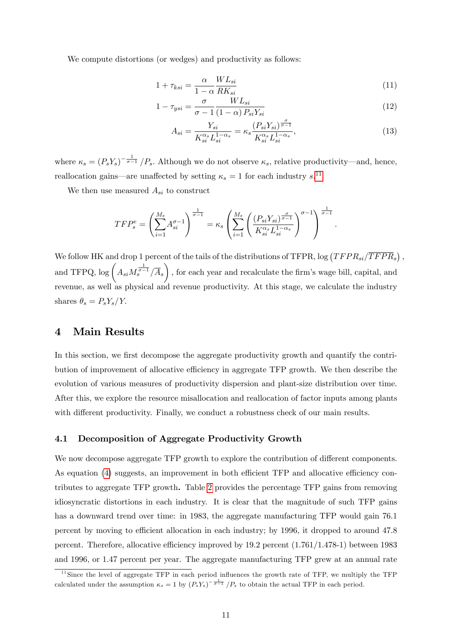We compute distortions (or wedges) and productivity as follows:

$$
1 + \tau_{ksi} = \frac{\alpha}{1 - \alpha} \frac{WL_{si}}{RK_{si}}
$$
\n<sup>(11)</sup>

$$
1 - \tau_{ysi} = \frac{\sigma}{\sigma - 1} \frac{WL_{si}}{(1 - \alpha) P_{si} Y_{si}}
$$
\n(12)

<span id="page-11-1"></span>
$$
A_{si} = \frac{Y_{si}}{K_{si}^{\alpha_s} L_{si}^{1-\alpha_s}} = \kappa_s \frac{(P_{si} Y_{si})^{\frac{\sigma}{\sigma-1}}}{K_{si}^{\alpha_s} L_{si}^{1-\alpha_s}},
$$
\n(13)

where  $\kappa_s = (P_s Y_s)^{-\frac{1}{\sigma-1}}/P_s$ . Although we do not observe  $\kappa_s$ , relative productivity—and, hence, reallocation gains—are unaffected by setting  $\kappa_s = 1$  for each industry s.<sup>[11](#page-11-0)</sup>

We then use measured  $A_{si}$  to construct

$$
TFP_s^e = \left(\sum_{i=1}^{M_s} A_{si}^{\sigma-1}\right)^{\frac{1}{\sigma-1}} = \kappa_s \left(\sum_{i=1}^{M_s} \left(\frac{(P_{si}Y_{si})^{\frac{\sigma}{\sigma-1}}}{K_{si}^{\alpha_s} L_{si}^{1-\alpha_s}}\right)^{\sigma-1}\right)^{\frac{1}{\sigma-1}}.
$$

We follow HK and drop 1 percent of the tails of the distributions of TFPR,  $\log (TFPR_{si}/\overline{TFPR}_{s})$ , and TFPQ,  $\log \left( A_{si} M_s^{\frac{1}{\sigma-1}} / \overline{A}_s \right)$  $\setminus$ ; for each year and recalculate the Örmís wage bill, capital, and revenue, as well as physical and revenue productivity. At this stage, we calculate the industry shares  $\theta_s = P_s Y_s/Y$ .

# 4 Main Results

In this section, we first decompose the aggregate productivity growth and quantify the contribution of improvement of allocative efficiency in aggregate TFP growth. We then describe the evolution of various measures of productivity dispersion and plant-size distribution over time. After this, we explore the resource misallocation and reallocation of factor inputs among plants with different productivity. Finally, we conduct a robustness check of our main results.

#### 4.1 Decomposition of Aggregate Productivity Growth

We now decompose aggregate TFP growth to explore the contribution of different components. As equation  $(4)$  suggests, an improvement in both efficient TFP and allocative efficiency contributes to aggregate TFP growth. Table [2](#page-42-1) provides the percentage TFP gains from removing idiosyncratic distortions in each industry. It is clear that the magnitude of such TFP gains has a downward trend over time: in 1983, the aggregate manufacturing TFP would gain 76.1 percent by moving to efficient allocation in each industry; by 1996, it dropped to around 47.8 percent. Therefore, allocative efficiency improved by  $19.2$  percent  $(1.761/1.478-1)$  between 1983 and 1996, or 1.47 percent per year. The aggregate manufacturing TFP grew at an annual rate

<span id="page-11-0"></span><sup>&</sup>lt;sup>11</sup>Since the level of aggregate TFP in each period influences the growth rate of TFP, we multiply the TFP calculated under the assumption  $\kappa_s = 1$  by  $(P_s Y_s)^{-\frac{1}{\sigma-1}}/P_s$  to obtain the actual TFP in each period.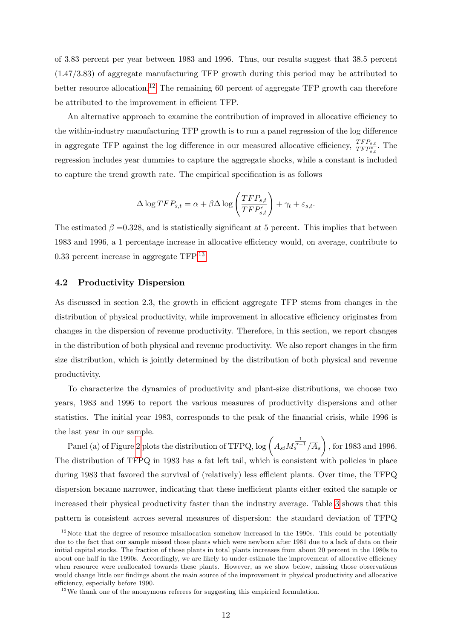of 3.83 percent per year between 1983 and 1996. Thus, our results suggest that 38.5 percent (1.47/3.83) of aggregate manufacturing TFP growth during this period may be attributed to better resource allocation.<sup>[12](#page-12-0)</sup> The remaining 60 percent of aggregate TFP growth can therefore be attributed to the improvement in efficient TFP.

An alternative approach to examine the contribution of improved in allocative efficiency to the within-industry manufacturing TFP growth is to run a panel regression of the log difference in aggregate TFP against the log difference in our measured allocative efficiency,  $\frac{TFP_{s,t}}{TFP_{s,t}}$ . The regression includes year dummies to capture the aggregate shocks, while a constant is included to capture the trend growth rate. The empirical specification is as follows

$$
\Delta \log TFP_{s,t} = \alpha + \beta \Delta \log \left( \frac{TFP_{s,t}}{TFP_{s,t}} \right) + \gamma_t + \varepsilon_{s,t}.
$$

The estimated  $\beta = 0.328$ , and is statistically significant at 5 percent. This implies that between 1983 and 1996, a 1 percentage increase in allocative efficiency would, on average, contribute to 0.33 percent increase in aggregate TFP.[13](#page-12-1)

### 4.2 Productivity Dispersion

As discussed in section 2.3, the growth in efficient aggregate TFP stems from changes in the distribution of physical productivity, while improvement in allocative efficiency originates from changes in the dispersion of revenue productivity. Therefore, in this section, we report changes in the distribution of both physical and revenue productivity. We also report changes in the firm size distribution, which is jointly determined by the distribution of both physical and revenue productivity.

To characterize the dynamics of productivity and plant-size distributions, we choose two years, 1983 and 1996 to report the various measures of productivity dispersions and other statistics. The initial year 1983, corresponds to the peak of the financial crisis, while 1996 is the last year in our sample.

Panel (a) of Figure [2](#page-48-0) plots the distribution of TFPQ,  $\log \left(A_{si} M_s^{\frac{1}{\sigma-1}}/\overline{A}_s\right)$  $\setminus$ ; for 1983 and 1996. The distribution of TFPQ in 1983 has a fat left tail, which is consistent with policies in place during 1983 that favored the survival of (relatively) less efficient plants. Over time, the TFPQ dispersion became narrower, indicating that these inefficient plants either exited the sample or increased their physical productivity faster than the industry average. Table [3](#page-43-0) shows that this pattern is consistent across several measures of dispersion: the standard deviation of TFPQ

<span id="page-12-0"></span> $12$ Note that the degree of resource misallocation somehow increased in the 1990s. This could be potentially due to the fact that our sample missed those plants which were newborn after 1981 due to a lack of data on their initial capital stocks. The fraction of those plants in total plants increases from about 20 percent in the 1980s to about one half in the 1990s. Accordingly, we are likely to under-estimate the improvement of allocative efficiency when resource were reallocated towards these plants. However, as we show below, missing those observations would change little our findings about the main source of the improvement in physical productivity and allocative efficiency, especially before 1990.

<span id="page-12-1"></span> $13$  We thank one of the anonymous referees for suggesting this empirical formulation.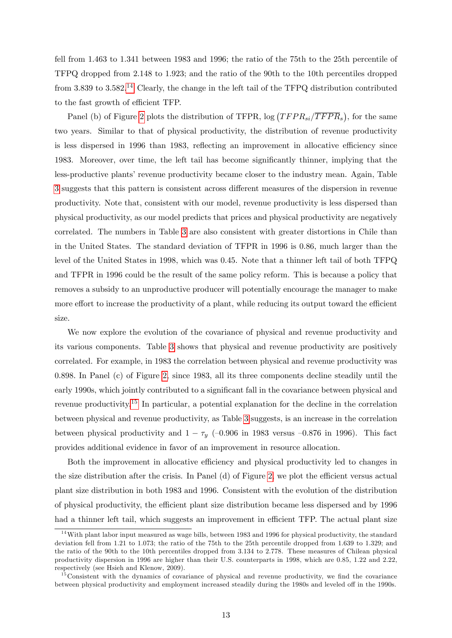fell from 1.463 to 1.341 between 1983 and 1996; the ratio of the 75th to the 25th percentile of TFPQ dropped from 2.148 to 1.923; and the ratio of the 90th to the 10th percentiles dropped from 3.839 to 3.582.[14](#page-13-0) Clearly, the change in the left tail of the TFPQ distribution contributed to the fast growth of efficient TFP.

Panel (b) of Figure [2](#page-48-0) plots the distribution of TFPR,  $\log (TFPR_{si}/\overline{TFPR}_{s})$ , for the same two years. Similar to that of physical productivity, the distribution of revenue productivity is less dispersed in 1996 than 1983, reflecting an improvement in allocative efficiency since 1983. Moreover, over time, the left tail has become significantly thinner, implying that the less-productive plants' revenue productivity became closer to the industry mean. Again, Table [3](#page-43-0) suggests that this pattern is consistent across different measures of the dispersion in revenue productivity. Note that, consistent with our model, revenue productivity is less dispersed than physical productivity, as our model predicts that prices and physical productivity are negatively correlated. The numbers in Table [3](#page-43-0) are also consistent with greater distortions in Chile than in the United States. The standard deviation of TFPR in 1996 is 0.86, much larger than the level of the United States in 1998, which was 0.45. Note that a thinner left tail of both TFPQ and TFPR in 1996 could be the result of the same policy reform. This is because a policy that removes a subsidy to an unproductive producer will potentially encourage the manager to make more effort to increase the productivity of a plant, while reducing its output toward the efficient size.

We now explore the evolution of the covariance of physical and revenue productivity and its various components. Table [3](#page-43-0) shows that physical and revenue productivity are positively correlated. For example, in 1983 the correlation between physical and revenue productivity was 0.898. In Panel (c) of Figure [2,](#page-48-0) since 1983, all its three components decline steadily until the early 1990s, which jointly contributed to a significant fall in the covariance between physical and revenue productivity.[15](#page-13-1) In particular, a potential explanation for the decline in the correlation between physical and revenue productivity, as Table [3](#page-43-0) suggests, is an increase in the correlation between physical productivity and  $1 - \tau_y$  (-0.906 in 1983 versus -0.876 in 1996). This fact provides additional evidence in favor of an improvement in resource allocation.

Both the improvement in allocative efficiency and physical productivity led to changes in the size distribution after the crisis. In Panel  $(d)$  of Figure [2,](#page-48-0) we plot the efficient versus actual plant size distribution in both 1983 and 1996. Consistent with the evolution of the distribution of physical productivity, the efficient plant size distribution became less dispersed and by 1996 had a thinner left tail, which suggests an improvement in efficient TFP. The actual plant size

<span id="page-13-0"></span><sup>&</sup>lt;sup>14</sup>With plant labor input measured as wage bills, between 1983 and 1996 for physical productivity, the standard deviation fell from 1.21 to 1.073; the ratio of the 75th to the 25th percentile dropped from 1.639 to 1.329; and the ratio of the 90th to the 10th percentiles dropped from 3.134 to 2.778. These measures of Chilean physical productivity dispersion in 1996 are higher than their U.S. counterparts in 1998, which are 0.85, 1.22 and 2.22, respectively (see Hsieh and Klenow, 2009).

<span id="page-13-1"></span> $15\text{Consistent with the dynamics of covariance of physical and revenue productivity, we find the covariance.}$ between physical productivity and employment increased steadily during the 1980s and leveled off in the 1990s.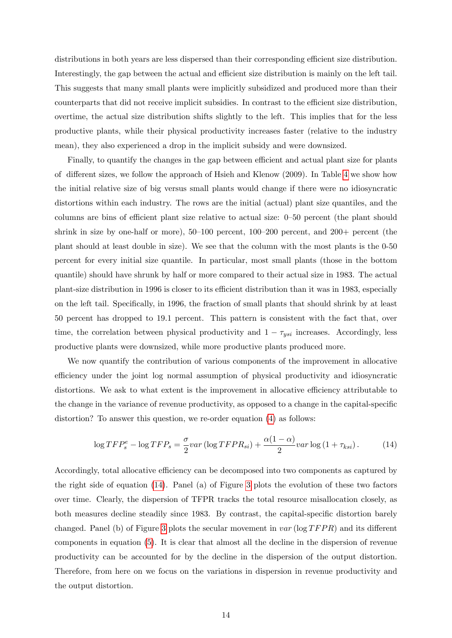distributions in both years are less dispersed than their corresponding efficient size distribution. Interestingly, the gap between the actual and efficient size distribution is mainly on the left tail. This suggests that many small plants were implicitly subsidized and produced more than their counterparts that did not receive implicit subsidies. In contrast to the efficient size distribution, overtime, the actual size distribution shifts slightly to the left. This implies that for the less productive plants, while their physical productivity increases faster (relative to the industry mean), they also experienced a drop in the implicit subsidy and were downsized.

Finally, to quantify the changes in the gap between efficient and actual plant size for plants of different sizes, we follow the approach of Hsieh and Klenow  $(2009)$ . In Table [4](#page-43-1) we show how the initial relative size of big versus small plants would change if there were no idiosyncratic distortions within each industry. The rows are the initial (actual) plant size quantiles, and the columns are bins of efficient plant size relative to actual size:  $0-50$  percent (the plant should shrink in size by one-half or more),  $50-100$  percent,  $100-200$  percent, and  $200+$  percent (the plant should at least double in size). We see that the column with the most plants is the 0-50 percent for every initial size quantile. In particular, most small plants (those in the bottom quantile) should have shrunk by half or more compared to their actual size in 1983. The actual plant-size distribution in 1996 is closer to its efficient distribution than it was in 1983, especially on the left tail. Specifically, in 1996, the fraction of small plants that should shrink by at least 50 percent has dropped to 19.1 percent. This pattern is consistent with the fact that, over time, the correlation between physical productivity and  $1 - \tau_{ysi}$  increases. Accordingly, less productive plants were downsized, while more productive plants produced more.

We now quantify the contribution of various components of the improvement in allocative efficiency under the joint log normal assumption of physical productivity and idiosyncratic distortions. We ask to what extent is the improvement in allocative efficiency attributable to the change in the variance of revenue productivity, as opposed to a change in the capital-specific distortion? To answer this question, we re-order equation [\(4\)](#page-7-0) as follows:

<span id="page-14-0"></span>
$$
\log TFP_s^e - \log TFP_s = \frac{\sigma}{2}var\left(\log TFPR_{si}\right) + \frac{\alpha(1-\alpha)}{2}var\log\left(1+\tau_{ksi}\right). \tag{14}
$$

Accordingly, total allocative efficiency can be decomposed into two components as captured by the right side of equation [\(14\)](#page-14-0). Panel (a) of Figure [3](#page-49-0) plots the evolution of these two factors over time. Clearly, the dispersion of TFPR tracks the total resource misallocation closely, as both measures decline steadily since 1983. By contrast, the capital-specific distortion barely changed. Panel (b) of Figure [3](#page-49-0) plots the secular movement in  $var$  (log  $TFPR$ ) and its different components in equation [\(5\)](#page-7-1). It is clear that almost all the decline in the dispersion of revenue productivity can be accounted for by the decline in the dispersion of the output distortion. Therefore, from here on we focus on the variations in dispersion in revenue productivity and the output distortion.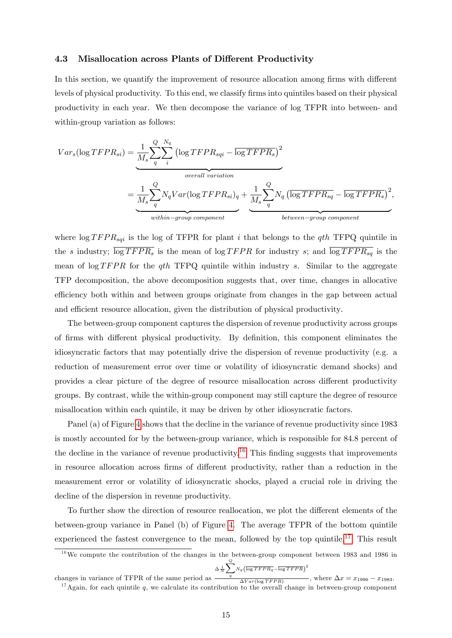#### 4.3 Misallocation across Plants of Different Productivity

In this section, we quantify the improvement of resource allocation among firms with different levels of physical productivity. To this end, we classify firms into quintiles based on their physical productivity in each year. We then decompose the variance of log TFPR into between- and within-group variation as follows:

$$
Var_s(\log TFPR_{si}) = \underbrace{\frac{1}{M_s} \sum_{q}^{Q} \sum_{i}^{N_q} (\log TFPR_{sqi} - \overline{\log TFPR_s})^2}_{overall variation}
$$
\n
$$
= \underbrace{\frac{1}{M_s} \sum_{q}^{Q} N_q Var(\log TFPR_{si})_q}_{within-group\ component} + \underbrace{\frac{1}{M_s} \sum_{q}^{Q} N_q (\overline{\log TFPR_{sq}} - \overline{\log TFPR_s})^2}_{between-group\ component},
$$

where  $\log T FPR_{sqi}$  is the log of TFPR for plant i that belongs to the qth TFPQ quintile in the s industry;  $\overline{\log T F P R_s}$  is the mean of  $\log T F P R$  for industry s; and  $\overline{\log T F P R_{sq}}$  is the mean of  $\log T FPR$  for the qth TFPQ quintile within industry s. Similar to the aggregate TFP decomposition, the above decomposition suggests that, over time, changes in allocative efficiency both within and between groups originate from changes in the gap between actual and efficient resource allocation, given the distribution of physical productivity.

The between-group component captures the dispersion of revenue productivity across groups of firms with different physical productivity. By definition, this component eliminates the idiosyncratic factors that may potentially drive the dispersion of revenue productivity (e.g. a reduction of measurement error over time or volatility of idiosyncratic demand shocks) and provides a clear picture of the degree of resource misallocation across different productivity groups. By contrast, while the within-group component may still capture the degree of resource misallocation within each quintile, it may be driven by other idiosyncratic factors.

Panel (a) of Figure [4](#page-50-0) shows that the decline in the variance of revenue productivity since 1983 is mostly accounted for by the between-group variance, which is responsible for 84.8 percent of the decline in the variance of revenue productivity.<sup>[16](#page-15-0)</sup> This finding suggests that improvements in resource allocation across firms of different productivity, rather than a reduction in the measurement error or volatility of idiosyncratic shocks, played a crucial role in driving the decline of the dispersion in revenue productivity.

To further show the direction of resource reallocation, we plot the different elements of the between-group variance in Panel (b) of Figure [4.](#page-50-0) The average TFPR of the bottom quintile experienced the fastest convergence to the mean, followed by the top quintile.<sup>[17](#page-15-1)</sup> This result

<span id="page-15-0"></span> $16\,\text{We compute the contribution of the changes in the between-group component between 1983 and 1986 in }$  $\Delta \frac{1}{N} \sum^Q$  $\sum_q N_q \Bigl(\overline{\log T F P R_q} - \overline{\log T F P R} \Bigr)^2$ 

<span id="page-15-1"></span>changes in variance of TFPR of the same period as  $\overline{\Delta Var(\log T FPR)}$ , where  $\Delta x = x_{1996} - x_{1983}$ .  $17$ Again, for each quintile q, we calculate its contribution to the overall change in between-group component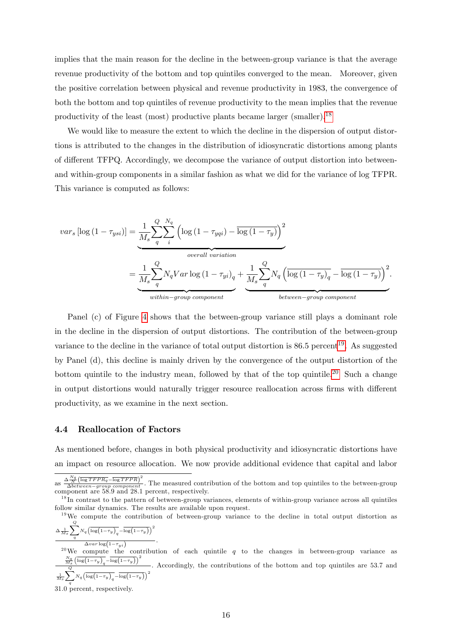implies that the main reason for the decline in the between-group variance is that the average revenue productivity of the bottom and top quintiles converged to the mean. Moreover, given the positive correlation between physical and revenue productivity in 1983, the convergence of both the bottom and top quintiles of revenue productivity to the mean implies that the revenue productivity of the least (most) productive plants became larger (smaller).[18](#page-16-0)

We would like to measure the extent to which the decline in the dispersion of output distortions is attributed to the changes in the distribution of idiosyncratic distortions among plants of different TFPQ. Accordingly, we decompose the variance of output distortion into betweenand within-group components in a similar fashion as what we did for the variance of log TFPR: This variance is computed as follows:

$$
var_s \left[ \log \left( 1 - \tau_{ysi} \right) \right] = \underbrace{\frac{1}{M_s} \sum_{q}^{Q} \sum_{i}^{N_q} \left( \log \left( 1 - \tau_{yqi} \right) - \overline{\log \left( 1 - \tau_{y} \right)} \right)^2}_{overall \ variation}
$$
\n
$$
= \underbrace{\frac{1}{M_s} \sum_{q}^{Q} N_q Var \log \left( 1 - \tau_{yi} \right)_q}_{within \ - group \ component} + \underbrace{\frac{1}{M_s} \sum_{q}^{Q} N_q \left( \overline{\log \left( 1 - \tau_{y} \right)_q} - \overline{\log \left( 1 - \tau_{y} \right)} \right)^2}_{between \ - group \ component}.
$$

Panel (c) of Figure [4](#page-50-0) shows that the between-group variance still plays a dominant role in the decline in the dispersion of output distortions. The contribution of the between-group variance to the decline in the variance of total output distortion is  $86.5$  percent<sup>[19](#page-16-1)</sup>. As suggested by Panel (d), this decline is mainly driven by the convergence of the output distortion of the bottom quintile to the industry mean, followed by that of the top quintile.<sup>[20](#page-16-2)</sup> Such a change in output distortions would naturally trigger resource reallocation across firms with different productivity, as we examine in the next section.

### 4.4 Reallocation of Factors

As mentioned before, changes in both physical productivity and idiosyncratic distortions have an impact on resource allocation. We now provide additional evidence that capital and labor

$$
\frac{\Delta \frac{1}{M_s} \sum_{q} N_q \left( \log \left( 1 - \tau_y \right)_q - \log \left( 1 - \tau_y \right) \right)}{\Delta var \log \left( 1 - \tau_{ui} \right)}
$$

:

<span id="page-16-2"></span><sup>20</sup>We compute the contribution of each quintile  $q$  to the changes in between-group variance as  $\frac{N_q}{M_s}\left(\overline{\log\!\left(1\!-\!\tau_y\right)_q}\!-\!\overline{\log\!\left(1\!-\!\tau_y\right)}\right)^2$ 1  $\overline{M_{S}}$  $\stackrel{Q}{\blacklozenge}$  $N_q \left( \overline{\log \left(1-\tau_y\right)_q} - \overline{\log \left(1-\tau_y\right)} \right)^2$ : Accordingly, the contributions of the bottom and top quintiles are 53.7 and

31.0 percent, respectively.

as  $\frac{\Delta_N^{Nq}}{\Delta between-group \ component}$ . The measured contribution of the bottom and top quintiles to the between-group component are 58.9 and 28.1 percent, respectively.

<span id="page-16-0"></span><sup>&</sup>lt;sup>18</sup>In contrast to the pattern of between-group variances, elements of within-group variance across all quintiles follow similar dynamics. The results are available upon request.

<span id="page-16-1"></span><sup>&</sup>lt;sup>19</sup>We compute the contribution of between-group variance to the decline in total output distortion as  $\Delta \frac{1}{\Lambda}$  $\sum_{i=1}^{n}$  $\sqrt{2}$  $\setminus^2$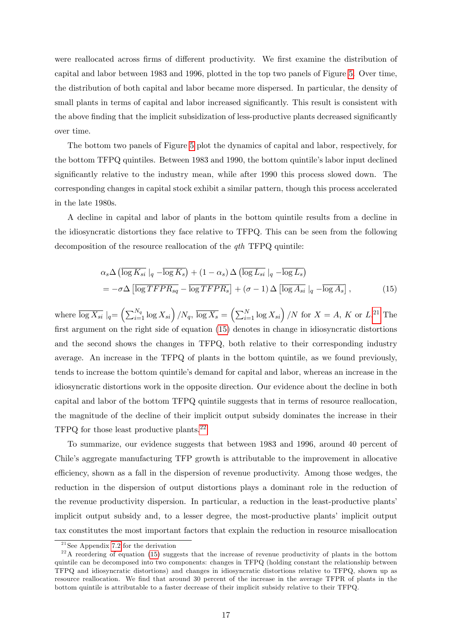were reallocated across firms of different productivity. We first examine the distribution of capital and labor between 1983 and 1996, plotted in the top two panels of Figure [5.](#page-51-0) Over time, the distribution of both capital and labor became more dispersed. In particular, the density of small plants in terms of capital and labor increased significantly. This result is consistent with the above finding that the implicit subsidization of less-productive plants decreased significantly over time.

The bottom two panels of Figure [5](#page-51-0) plot the dynamics of capital and labor, respectively, for the bottom TFPQ quintiles. Between 1983 and 1990, the bottom quintile's labor input declined significantly relative to the industry mean, while after 1990 this process slowed down. The corresponding changes in capital stock exhibit a similar pattern, though this process accelerated in the late 1980s.

A decline in capital and labor of plants in the bottom quintile results from a decline in the idiosyncratic distortions they face relative to TFPQ. This can be seen from the following decomposition of the resource reallocation of the *qth* TFPQ quintile:

<span id="page-17-1"></span>
$$
\alpha_s \Delta \left( \overline{\log K_{si}} \mid_q - \overline{\log K_s} \right) + (1 - \alpha_s) \Delta \left( \overline{\log L_{si}} \mid_q - \overline{\log L_s} \right)
$$
  
= 
$$
-\sigma \Delta \left[ \overline{\log TFPR_{sq}} - \overline{\log TFPR_s} \right] + (\sigma - 1) \Delta \left[ \overline{\log A_{si}} \mid_q - \overline{\log A_s} \right],
$$
(15)

where  $\overline{\log X_{si}}\mid_q = \left(\sum_{i=1}^{N_q} \log X_{si}\right) / N_q$ ,  $\overline{\log X_s} = \left(\sum_{i=1}^{N} \log X_{si}\right) / N$  for  $X = A$ , K or  $L^{21}$  $L^{21}$  $L^{21}$  The first argument on the right side of equation  $(15)$  denotes in change in idiosyncratic distortions and the second shows the changes in TFPQ, both relative to their corresponding industry average. An increase in the TFPQ of plants in the bottom quintile, as we found previously, tends to increase the bottom quintileís demand for capital and labor, whereas an increase in the idiosyncratic distortions work in the opposite direction. Our evidence about the decline in both capital and labor of the bottom TFPQ quintile suggests that in terms of resource reallocation, the magnitude of the decline of their implicit output subsidy dominates the increase in their TFPQ for those least productive plants.[22](#page-17-2)

To summarize, our evidence suggests that between 1983 and 1996, around 40 percent of Chile's aggregate manufacturing TFP growth is attributable to the improvement in allocative efficiency, shown as a fall in the dispersion of revenue productivity. Among those wedges, the reduction in the dispersion of output distortions plays a dominant role in the reduction of the revenue productivity dispersion. In particular, a reduction in the least-productive plantsí implicit output subsidy and, to a lesser degree, the most-productive plants' implicit output tax constitutes the most important factors that explain the reduction in resource misallocation

<span id="page-17-2"></span><span id="page-17-0"></span> $^{21}$ See Appendix [7.2](#page-33-0) for the derivation

 $^{22}$ A reordering of equation [\(15\)](#page-17-1) suggests that the increase of revenue productivity of plants in the bottom quintile can be decomposed into two components: changes in TFPQ (holding constant the relationship between TFPQ and idiosyncratic distortions) and changes in idiosyncratic distortions relative to TFPQ, shown up as resource reallocation. We find that around 30 percent of the increase in the average TFPR of plants in the bottom quintile is attributable to a faster decrease of their implicit subsidy relative to their TFPQ.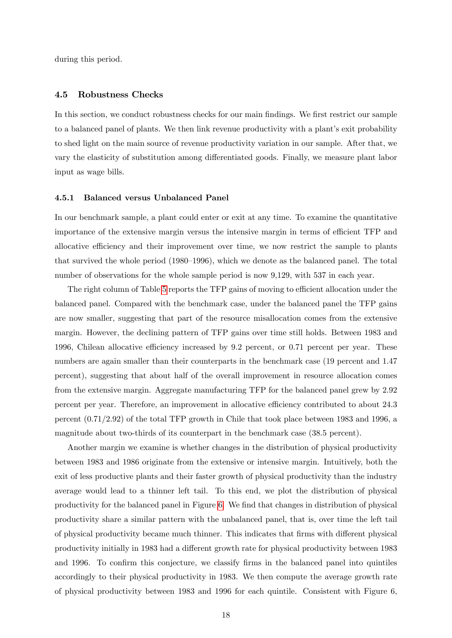during this period:

### 4.5 Robustness Checks

In this section, we conduct robustness checks for our main findings. We first restrict our sample to a balanced panel of plants. We then link revenue productivity with a plant's exit probability to shed light on the main source of revenue productivity variation in our sample. After that, we vary the elasticity of substitution among differentiated goods. Finally, we measure plant labor input as wage bills.

### 4.5.1 Balanced versus Unbalanced Panel

In our benchmark sample, a plant could enter or exit at any time. To examine the quantitative importance of the extensive margin versus the intensive margin in terms of efficient TFP and allocative efficiency and their improvement over time, we now restrict the sample to plants that survived the whole period  $(1980–1996)$ , which we denote as the balanced panel. The total number of observations for the whole sample period is now 9,129, with 537 in each year.

The right column of Table [5](#page-44-0) reports the TFP gains of moving to efficient allocation under the balanced panel. Compared with the benchmark case, under the balanced panel the TFP gains are now smaller, suggesting that part of the resource misallocation comes from the extensive margin. However, the declining pattern of TFP gains over time still holds. Between 1983 and 1996, Chilean allocative efficiency increased by  $9.2$  percent, or 0.71 percent per year. These numbers are again smaller than their counterparts in the benchmark case (19 percent and 1.47 percent), suggesting that about half of the overall improvement in resource allocation comes from the extensive margin. Aggregate manufacturing TFP for the balanced panel grew by 2.92 percent per year. Therefore, an improvement in allocative efficiency contributed to about 24.3 percent (0.71/2.92) of the total TFP growth in Chile that took place between 1983 and 1996, a magnitude about two-thirds of its counterpart in the benchmark case (38.5 percent).

Another margin we examine is whether changes in the distribution of physical productivity between 1983 and 1986 originate from the extensive or intensive margin. Intuitively, both the exit of less productive plants and their faster growth of physical productivity than the industry average would lead to a thinner left tail. To this end, we plot the distribution of physical productivity for the balanced panel in Figure [6.](#page-52-0) We find that changes in distribution of physical productivity share a similar pattern with the unbalanced panel, that is, over time the left tail of physical productivity became much thinner. This indicates that firms with different physical productivity initially in 1983 had a different growth rate for physical productivity between 1983 and 1996. To confirm this conjecture, we classify firms in the balanced panel into quintiles accordingly to their physical productivity in 1983. We then compute the average growth rate of physical productivity between 1983 and 1996 for each quintile. Consistent with Figure 6,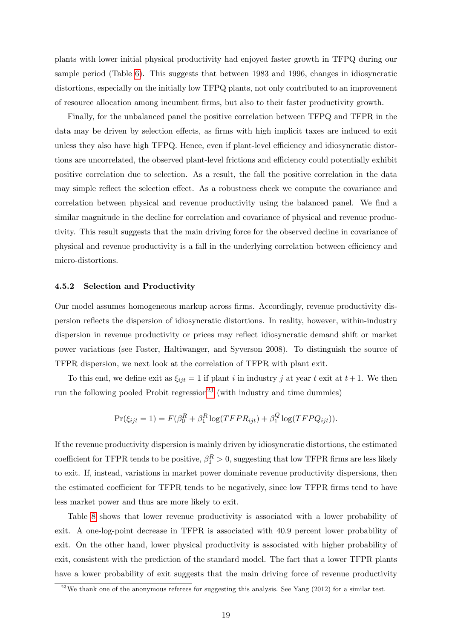plants with lower initial physical productivity had enjoyed faster growth in TFPQ during our sample period (Table [6\)](#page-45-0). This suggests that between 1983 and 1996, changes in idiosyncratic distortions, especially on the initially low TFPQ plants, not only contributed to an improvement of resource allocation among incumbent Örms, but also to their faster productivity growth.

Finally, for the unbalanced panel the positive correlation between TFPQ and TFPR in the data may be driven by selection effects, as firms with high implicit taxes are induced to exit unless they also have high TFPQ. Hence, even if plant-level efficiency and idiosyncratic distortions are uncorrelated, the observed plant-level frictions and efficiency could potentially exhibit positive correlation due to selection. As a result, the fall the positive correlation in the data may simple reflect the selection effect. As a robustness check we compute the covariance and correlation between physical and revenue productivity using the balanced panel. We find a similar magnitude in the decline for correlation and covariance of physical and revenue productivity. This result suggests that the main driving force for the observed decline in covariance of physical and revenue productivity is a fall in the underlying correlation between efficiency and micro-distortions.

### 4.5.2 Selection and Productivity

Our model assumes homogeneous markup across Örms. Accordingly, revenue productivity dispersion reáects the dispersion of idiosyncratic distortions. In reality, however, within-industry dispersion in revenue productivity or prices may reflect idiosyncratic demand shift or market power variations (see Foster, Haltiwanger, and Syverson 2008). To distinguish the source of TFPR dispersion, we next look at the correlation of TFPR with plant exit.

To this end, we define exit as  $\xi_{ijt} = 1$  if plant i in industry j at year t exit at  $t + 1$ . We then run the following pooled Probit regression<sup>[23](#page-19-0)</sup> (with industry and time dummies)

$$
Pr(\xi_{ijt} = 1) = F(\beta_0^R + \beta_1^R \log(TFPR_{ijt}) + \beta_1^Q \log(TFPQ_{ijt})).
$$

If the revenue productivity dispersion is mainly driven by idiosyncratic distortions, the estimated coefficient for TFPR tends to be positive,  $\beta_1^R > 0$ , suggesting that low TFPR firms are less likely to exit. If, instead, variations in market power dominate revenue productivity dispersions, then the estimated coefficient for TFPR tends to be negatively, since low TFPR firms tend to have less market power and thus are more likely to exit.

Table [8](#page-45-1) shows that lower revenue productivity is associated with a lower probability of exit. A one-log-point decrease in TFPR is associated with 40.9 percent lower probability of exit. On the other hand, lower physical productivity is associated with higher probability of exit, consistent with the prediction of the standard model. The fact that a lower TFPR plants have a lower probability of exit suggests that the main driving force of revenue productivity

<span id="page-19-0"></span><sup>&</sup>lt;sup>23</sup>We thank one of the anonymous referees for suggesting this analysis. See Yang (2012) for a similar test.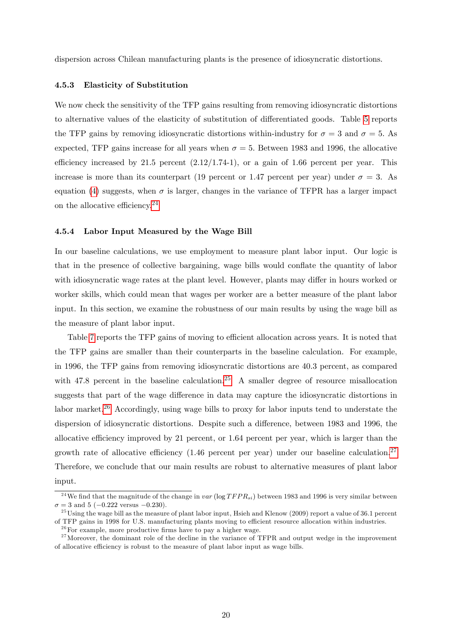dispersion across Chilean manufacturing plants is the presence of idiosyncratic distortions.

#### 4.5.3 Elasticity of Substitution

We now check the sensitivity of the TFP gains resulting from removing idiosyncratic distortions to alternative values of the elasticity of substitution of differentiated goods. Table [5](#page-44-0) reports the TFP gains by removing idiosyncratic distortions within-industry for  $\sigma = 3$  and  $\sigma = 5$ . As expected, TFP gains increase for all years when  $\sigma = 5$ . Between 1983 and 1996, the allocative efficiency increased by 21.5 percent  $(2.12/1.74-1)$ , or a gain of 1.66 percent per year. This increase is more than its counterpart (19 percent or 1.47 percent per year) under  $\sigma = 3$ . As equation [\(4\)](#page-7-0) suggests, when  $\sigma$  is larger, changes in the variance of TFPR has a larger impact on the allocative efficiency.<sup>[24](#page-20-0)</sup>

#### 4.5.4 Labor Input Measured by the Wage Bill

In our baseline calculations, we use employment to measure plant labor input. Our logic is that in the presence of collective bargaining, wage bills would conflate the quantity of labor with idiosyncratic wage rates at the plant level. However, plants may differ in hours worked or worker skills, which could mean that wages per worker are a better measure of the plant labor input. In this section, we examine the robustness of our main results by using the wage bill as the measure of plant labor input.

Table [7](#page-45-2) reports the TFP gains of moving to efficient allocation across years. It is noted that the TFP gains are smaller than their counterparts in the baseline calculation. For example, in 1996, the TFP gains from removing idiosyncratic distortions are 40.3 percent, as compared with 47.8 percent in the baseline calculation.<sup>[25](#page-20-1)</sup> A smaller degree of resource misallocation suggests that part of the wage difference in data may capture the idiosyncratic distortions in labor market.<sup>[26](#page-20-2)</sup> Accordingly, using wage bills to proxy for labor inputs tend to understate the dispersion of idiosyncratic distortions. Despite such a difference, between 1983 and 1996, the allocative efficiency improved by 21 percent, or  $1.64$  percent per year, which is larger than the growth rate of allocative efficiency  $(1.46$  percent per year) under our baseline calculation.<sup>[27](#page-20-3)</sup> Therefore, we conclude that our main results are robust to alternative measures of plant labor input.

<span id="page-20-0"></span><sup>&</sup>lt;sup>24</sup>We find that the magnitude of the change in var (log  $TFPR_{si}$ ) between 1983 and 1996 is very similar between  $\sigma = 3$  and 5 (-0.222 versus -0.230).

<span id="page-20-1"></span><sup>&</sup>lt;sup>25</sup>Using the wage bill as the measure of plant labor input, Hsieh and Klenow (2009) report a value of 36.1 percent of TFP gains in 1998 for U.S. manufacturing plants moving to efficient resource allocation within industries.

<span id="page-20-3"></span><span id="page-20-2"></span> $26$  For example, more productive firms have to pay a higher wage.

 $27$ Moreover, the dominant role of the decline in the variance of TFPR and output wedge in the improvement of allocative efficiency is robust to the measure of plant labor input as wage bills.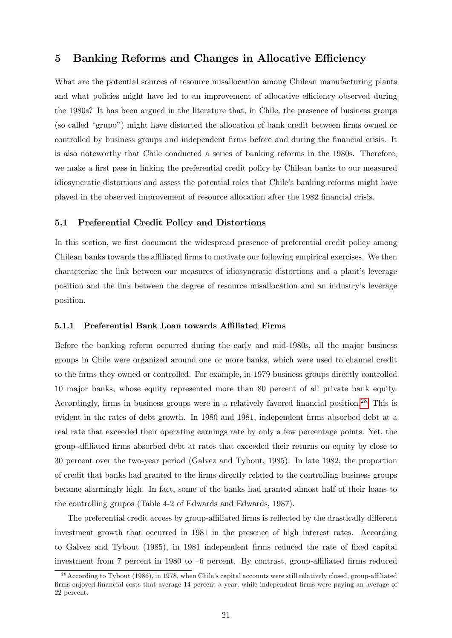# 5 Banking Reforms and Changes in Allocative Efficiency

What are the potential sources of resource misallocation among Chilean manufacturing plants and what policies might have led to an improvement of allocative efficiency observed during the 1980s? It has been argued in the literature that, in Chile, the presence of business groups (so called "grupo") might have distorted the allocation of bank credit between firms owned or controlled by business groups and independent firms before and during the financial crisis. It is also noteworthy that Chile conducted a series of banking reforms in the 1980s. Therefore, we make a first pass in linking the preferential credit policy by Chilean banks to our measured idiosyncratic distortions and assess the potential roles that Chile's banking reforms might have played in the observed improvement of resource allocation after the 1982 Önancial crisis.

### 5.1 Preferential Credit Policy and Distortions

In this section, we first document the widespread presence of preferential credit policy among Chilean banks towards the affiliated firms to motivate our following empirical exercises. We then characterize the link between our measures of idiosyncratic distortions and a plant's leverage position and the link between the degree of resource misallocation and an industryís leverage position.

#### 5.1.1 Preferential Bank Loan towards Affiliated Firms

Before the banking reform occurred during the early and mid-1980s, all the major business groups in Chile were organized around one or more banks, which were used to channel credit to the firms they owned or controlled. For example, in 1979 business groups directly controlled 10 major banks, whose equity represented more than 80 percent of all private bank equity. Accordingly, firms in business groups were in a relatively favored financial position.<sup>[28](#page-21-0)</sup> This is evident in the rates of debt growth. In 1980 and 1981, independent firms absorbed debt at a real rate that exceeded their operating earnings rate by only a few percentage points. Yet, the group-a¢ liated Örms absorbed debt at rates that exceeded their returns on equity by close to 30 percent over the two-year period (Galvez and Tybout, 1985). In late 1982, the proportion of credit that banks had granted to the Örms directly related to the controlling business groups became alarmingly high. In fact, some of the banks had granted almost half of their loans to the controlling grupos (Table 4-2 of Edwards and Edwards, 1987).

The preferential credit access by group-affiliated firms is reflected by the drastically different investment growth that occurred in 1981 in the presence of high interest rates. According to Galvez and Tybout (1985), in 1981 independent firms reduced the rate of fixed capital investment from 7 percent in 1980 to  $-6$  percent. By contrast, group-affiliated firms reduced

<span id="page-21-0"></span> $^{28}$  According to Tybout (1986), in 1978, when Chile's capital accounts were still relatively closed, group-affiliated Örms enjoyed Önancial costs that average 14 percent a year, while independent Örms were paying an average of 22 percent.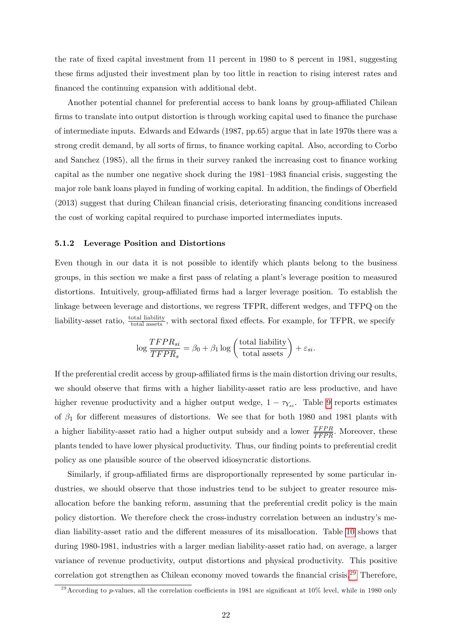the rate of Öxed capital investment from 11 percent in 1980 to 8 percent in 1981, suggesting these Örms adjusted their investment plan by too little in reaction to rising interest rates and financed the continuing expansion with additional debt.

Another potential channel for preferential access to bank loans by group-affiliated Chilean firms to translate into output distortion is through working capital used to finance the purchase of intermediate inputs. Edwards and Edwards (1987, pp.65) argue that in late 1970s there was a strong credit demand, by all sorts of firms, to finance working capital. Also, according to Corbo and Sanchez (1985), all the firms in their survey ranked the increasing cost to finance working capital as the number one negative shock during the  $1981-1983$  financial crisis, suggesting the major role bank loans played in funding of working capital. In addition, the findings of Oberfield (2013) suggest that during Chilean financial crisis, deteriorating financing conditions increased the cost of working capital required to purchase imported intermediates inputs.

### 5.1.2 Leverage Position and Distortions

Even though in our data it is not possible to identify which plants belong to the business groups, in this section we make a first pass of relating a plant's leverage position to measured distortions. Intuitively, group-affiliated firms had a larger leverage position. To establish the linkage between leverage and distortions, we regress TFPR, different wedges, and TFPQ on the liability-asset ratio,  $\frac{\text{total liability}}{\text{total assets}}$ , with sectoral fixed effects. For example, for TFPR, we specify

$$
\log \frac{TFPR_{si}}{TFPR_s} = \beta_0 + \beta_1 \log \left(\frac{\text{total liability}}{\text{total assets}}\right) + \varepsilon_{si}.
$$

If the preferential credit access by group-affiliated firms is the main distortion driving our results, we should observe that firms with a higher liability-asset ratio are less productive, and have higher revenue productivity and a higher output wedge,  $1 - \tau_{\chi_{si}}$ . Table [9](#page-46-0) reports estimates of  $\beta_1$  for different measures of distortions. We see that for both 1980 and 1981 plants with a higher liability-asset ratio had a higher output subsidy and a lower  $\frac{TFPR}{TFPR}$ . Moreover, these plants tended to have lower physical productivity. Thus, our finding points to preferential credit policy as one plausible source of the observed idiosyncratic distortions.

Similarly, if group-affiliated firms are disproportionally represented by some particular industries, we should observe that those industries tend to be subject to greater resource misallocation before the banking reform, assuming that the preferential credit policy is the main policy distortion. We therefore check the cross-industry correlation between an industryís me-dian liability-asset ratio and the different measures of its misallocation. Table [10](#page-46-1) shows that during 1980-1981, industries with a larger median liability-asset ratio had, on average, a larger variance of revenue productivity, output distortions and physical productivity. This positive correlation got strengthen as Chilean economy moved towards the financial crisis.<sup>[29](#page-22-0)</sup> Therefore,

<span id="page-22-0"></span><sup>&</sup>lt;sup>29</sup>According to p-values, all the correlation coefficients in 1981 are significant at  $10\%$  level, while in 1980 only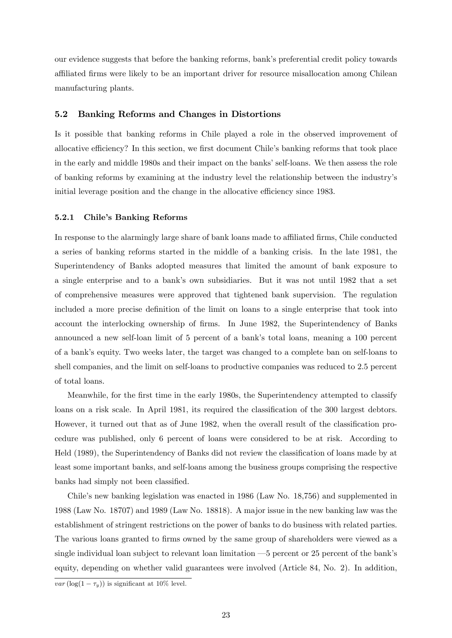our evidence suggests that before the banking reforms, bankís preferential credit policy towards a¢ liated Örms were likely to be an important driver for resource misallocation among Chilean manufacturing plants.

# 5.2 Banking Reforms and Changes in Distortions

Is it possible that banking reforms in Chile played a role in the observed improvement of allocative efficiency? In this section, we first document Chile's banking reforms that took place in the early and middle 1980s and their impact on the banks' self-loans. We then assess the role of banking reforms by examining at the industry level the relationship between the industryís initial leverage position and the change in the allocative efficiency since 1983.

#### 5.2.1 Chile's Banking Reforms

In response to the alarmingly large share of bank loans made to affiliated firms, Chile conducted a series of banking reforms started in the middle of a banking crisis. In the late 1981, the Superintendency of Banks adopted measures that limited the amount of bank exposure to a single enterprise and to a bankís own subsidiaries. But it was not until 1982 that a set of comprehensive measures were approved that tightened bank supervision. The regulation included a more precise definition of the limit on loans to a single enterprise that took into account the interlocking ownership of firms. In June 1982, the Superintendency of Banks announced a new self-loan limit of 5 percent of a bank's total loans, meaning a 100 percent of a bankís equity. Two weeks later, the target was changed to a complete ban on self-loans to shell companies, and the limit on self-loans to productive companies was reduced to 2.5 percent of total loans.

Meanwhile, for the first time in the early 1980s, the Superintendency attempted to classify loans on a risk scale. In April 1981, its required the classification of the 300 largest debtors. However, it turned out that as of June 1982, when the overall result of the classification procedure was published, only 6 percent of loans were considered to be at risk. According to Held (1989), the Superintendency of Banks did not review the classification of loans made by at least some important banks, and self-loans among the business groups comprising the respective banks had simply not been classified.

Chile's new banking legislation was enacted in 1986 (Law No. 18,756) and supplemented in 1988 (Law No. 18707) and 1989 (Law No. 18818). A major issue in the new banking law was the establishment of stringent restrictions on the power of banks to do business with related parties. The various loans granted to firms owned by the same group of shareholders were viewed as a single individual loan subject to relevant loan limitation  $-5$  percent or 25 percent of the bank's equity, depending on whether valid guarantees were involved (Article 84, No. 2). In addition,

var (log(1  $-\tau_y$ )) is significant at 10% level.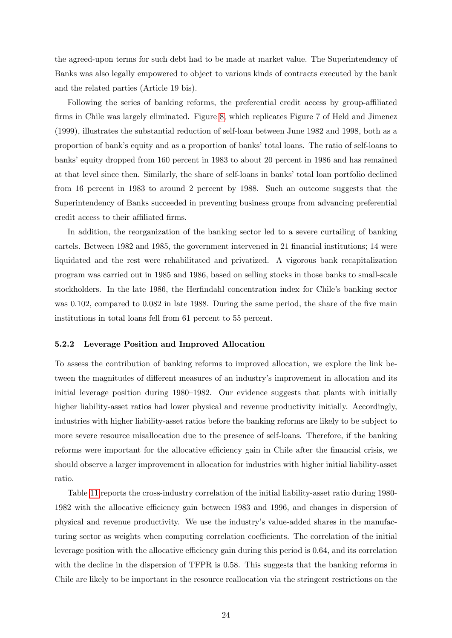the agreed-upon terms for such debt had to be made at market value. The Superintendency of Banks was also legally empowered to object to various kinds of contracts executed by the bank and the related parties (Article 19 bis).

Following the series of banking reforms, the preferential credit access by group-affiliated firms in Chile was largely eliminated. Figure [8,](#page-53-0) which replicates Figure 7 of Held and Jimenez (1999), illustrates the substantial reduction of self-loan between June 1982 and 1998, both as a proportion of bank's equity and as a proportion of banks' total loans. The ratio of self-loans to banks' equity dropped from 160 percent in 1983 to about 20 percent in 1986 and has remained at that level since then. Similarly, the share of self-loans in banks' total loan portfolio declined from 16 percent in 1983 to around 2 percent by 1988. Such an outcome suggests that the Superintendency of Banks succeeded in preventing business groups from advancing preferential credit access to their affiliated firms.

In addition, the reorganization of the banking sector led to a severe curtailing of banking cartels. Between 1982 and 1985, the government intervened in 21 financial institutions; 14 were liquidated and the rest were rehabilitated and privatized. A vigorous bank recapitalization program was carried out in 1985 and 1986, based on selling stocks in those banks to small-scale stockholders. In the late 1986, the Herfindahl concentration index for Chile's banking sector was  $0.102$ , compared to  $0.082$  in late 1988. During the same period, the share of the five main institutions in total loans fell from 61 percent to 55 percent.

#### 5.2.2 Leverage Position and Improved Allocation

To assess the contribution of banking reforms to improved allocation, we explore the link between the magnitudes of different measures of an industry's improvement in allocation and its initial leverage position during  $1980-1982$ . Our evidence suggests that plants with initially higher liability-asset ratios had lower physical and revenue productivity initially. Accordingly, industries with higher liability-asset ratios before the banking reforms are likely to be subject to more severe resource misallocation due to the presence of self-loans. Therefore, if the banking reforms were important for the allocative efficiency gain in Chile after the financial crisis, we should observe a larger improvement in allocation for industries with higher initial liability-asset ratio.

Table [11](#page-46-2) reports the cross-industry correlation of the initial liability-asset ratio during 1980- 1982 with the allocative efficiency gain between 1983 and 1996, and changes in dispersion of physical and revenue productivity. We use the industryís value-added shares in the manufacturing sector as weights when computing correlation coefficients. The correlation of the initial leverage position with the allocative efficiency gain during this period is 0.64, and its correlation with the decline in the dispersion of TFPR is 0.58. This suggests that the banking reforms in Chile are likely to be important in the resource reallocation via the stringent restrictions on the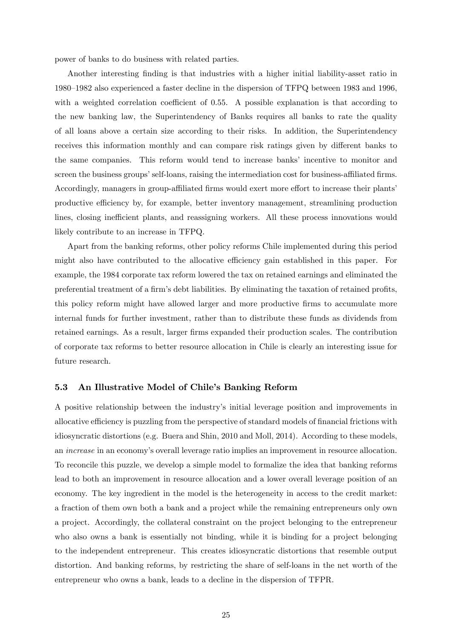power of banks to do business with related parties.

Another interesting Önding is that industries with a higher initial liability-asset ratio in 1980–1982 also experienced a faster decline in the dispersion of TFPQ between 1983 and 1996, with a weighted correlation coefficient of  $0.55$ . A possible explanation is that according to the new banking law, the Superintendency of Banks requires all banks to rate the quality of all loans above a certain size according to their risks. In addition, the Superintendency receives this information monthly and can compare risk ratings given by different banks to the same companies. This reform would tend to increase banks' incentive to monitor and screen the business groups' self-loans, raising the intermediation cost for business-affiliated firms. Accordingly, managers in group-affiliated firms would exert more effort to increase their plants productive efficiency by, for example, better inventory management, streamlining production lines, closing inefficient plants, and reassigning workers. All these process innovations would likely contribute to an increase in TFPQ.

Apart from the banking reforms, other policy reforms Chile implemented during this period might also have contributed to the allocative efficiency gain established in this paper. For example, the 1984 corporate tax reform lowered the tax on retained earnings and eliminated the preferential treatment of a firm's debt liabilities. By eliminating the taxation of retained profits, this policy reform might have allowed larger and more productive firms to accumulate more internal funds for further investment, rather than to distribute these funds as dividends from retained earnings. As a result, larger firms expanded their production scales. The contribution of corporate tax reforms to better resource allocation in Chile is clearly an interesting issue for future research.

### 5.3 An Illustrative Model of Chile's Banking Reform

A positive relationship between the industryís initial leverage position and improvements in allocative efficiency is puzzling from the perspective of standard models of financial frictions with idiosyncratic distortions (e.g. Buera and Shin, 2010 and Moll, 2014). According to these models, an increase in an economyís overall leverage ratio implies an improvement in resource allocation. To reconcile this puzzle, we develop a simple model to formalize the idea that banking reforms lead to both an improvement in resource allocation and a lower overall leverage position of an economy. The key ingredient in the model is the heterogeneity in access to the credit market: a fraction of them own both a bank and a project while the remaining entrepreneurs only own a project. Accordingly, the collateral constraint on the project belonging to the entrepreneur who also owns a bank is essentially not binding, while it is binding for a project belonging to the independent entrepreneur. This creates idiosyncratic distortions that resemble output distortion. And banking reforms, by restricting the share of self-loans in the net worth of the entrepreneur who owns a bank, leads to a decline in the dispersion of TFPR.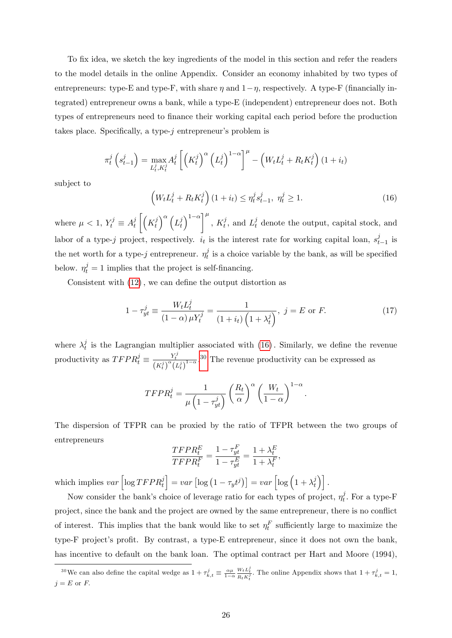To fix idea, we sketch the key ingredients of the model in this section and refer the readers to the model details in the online Appendix. Consider an economy inhabited by two types of entrepreneurs: type-E and type-F, with share  $\eta$  and  $1-\eta$ , respectively. A type-F (financially integrated) entrepreneur owns a bank, while a type-E (independent) entrepreneur does not. Both types of entrepreneurs need to finance their working capital each period before the production takes place. Specifically, a type- $i$  entrepreneur's problem is

$$
\pi_t^j\left(s_{t-1}^j\right) = \max_{L_t^j, K_t^j} A_t^j \left[ \left(K_t^j\right)^{\alpha} \left(L_t^j\right)^{1-\alpha} \right]^{\mu} - \left(W_t L_t^j + R_t K_t^j\right) (1+i_t)
$$

subject to

<span id="page-26-0"></span>
$$
\left(W_t L_t^j + R_t K_t^j\right) (1 + i_t) \le \eta_t^j s_{t-1}^j, \ \eta_t^j \ge 1. \tag{16}
$$

where  $\mu < 1, Y_t^j \equiv A_t^j$ t  $\left( K_t^j \right)$ t  $\big)^{\alpha}\big(L^{j}_{t}$ t  $\left(\int_{0}^{1-\alpha}\right)^{\mu}$ ,  $K_t^j$ , and  $L_t^j$  denote the output, capital stock, and labor of a type-j project, respectively.  $i_t$  is the interest rate for working capital loan,  $s_t^j$  $\int_{t-1}^{j}$  is the net worth for a type-j entrepreneur.  $\eta_t^j$  $t_t^j$  is a choice variable by the bank, as will be specified below.  $\eta_t^j = 1$  implies that the project is self-financing.

Consistent with  $(12)$ , we can define the output distortion as

$$
1 - \tau_{yt}^{j} \equiv \frac{W_t L_t^{j}}{(1 - \alpha)\mu Y_t^{j}} = \frac{1}{(1 + i_t)\left(1 + \lambda_t^{j}\right)}, \ j = E \text{ or } F. \tag{17}
$$

where  $\lambda_t^j$  $_t^j$  is the Lagrangian multiplier associated with  $(16)$ . Similarly, we define the revenue productivity as  $TFPR_t^j \equiv \frac{Y_t^j}{(K_t^j)^{\alpha} (L_t^j)^{1-\alpha}}$ .<sup>[30](#page-26-1)</sup> The revenue productivity can be expressed as

$$
TFPR_t^j = \frac{1}{\mu \left(1 - \tau_{yt}^j\right)} \left(\frac{R_t}{\alpha}\right)^{\alpha} \left(\frac{W_t}{1 - \alpha}\right)^{1 - \alpha}.
$$

The dispersion of TFPR can be proxied by the ratio of TFPR between the two groups of entrepreneurs

$$
\frac{TFPR_t^E}{TFPR_t^F} = \frac{1 - \tau_{yt}^F}{1 - \tau_{yt}^E} = \frac{1 + \lambda_t^E}{1 + \lambda_t^F},
$$

which implies  $var\left[log T F P R_t^j\right]$  $\Big] = var \left[ \log \left( 1 - \tau_y t^j \right) \right] = var \left[ \log \left( 1 + \lambda_t^j \right) \right]$  $\begin{bmatrix} j \\ t \end{bmatrix}$ .

Now consider the bank's choice of leverage ratio for each types of project,  $\eta_t^j$  $t_t^j$ . For a type-F project, since the bank and the project are owned by the same entrepreneur, there is no conflict of interest. This implies that the bank would like to set  $\eta_t^F$  sufficiently large to maximize the type-F project's profit. By contrast, a type-E entrepreneur, since it does not own the bank, has incentive to default on the bank loan. The optimal contract per Hart and Moore (1994),

<span id="page-26-1"></span><sup>&</sup>lt;sup>30</sup>We can also define the capital wedge as  $1 + \tau_{k,t}^j \equiv \frac{\alpha \mu}{1 - \alpha}$  $\frac{W_t L_t^j}{R_t K_t^j}$ . The online Appendix shows that  $1 + \tau_{k,t}^j = 1$ ,  $j = E$  or  $F$ .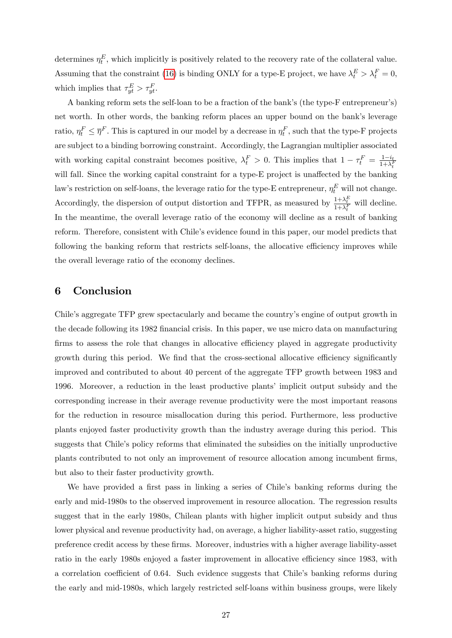determines  $\eta_t^E$ , which implicitly is positively related to the recovery rate of the collateral value. Assuming that the constraint [\(16\)](#page-26-0) is binding ONLY for a type-E project, we have  $\lambda_t^E > \lambda_t^F = 0$ , which implies that  $\tau_{yt}^E > \tau_{yt}^F$ .

A banking reform sets the self-loan to be a fraction of the bank's (the type-F entrepreneur's) net worth. In other words, the banking reform places an upper bound on the bank's leverage ratio,  $\eta_t^F \leq \overline{\eta}^F$ . This is captured in our model by a decrease in  $\eta_t^F$ , such that the type-F projects are subject to a binding borrowing constraint. Accordingly, the Lagrangian multiplier associated with working capital constraint becomes positive,  $\lambda_t^F > 0$ . This implies that  $1 - \tau_t^F = \frac{1 - i_t}{1 + \lambda_t^F}$ will fall. Since the working capital constraint for a type-E project is unaffected by the banking law's restriction on self-loans, the leverage ratio for the type-E entrepreneur,  $\eta_t^E$  will not change. Accordingly, the dispersion of output distortion and TFPR, as measured by  $\frac{1+\lambda_t^E}{1+\lambda_t^F}$  will decline. In the meantime, the overall leverage ratio of the economy will decline as a result of banking reform. Therefore, consistent with Chile's evidence found in this paper, our model predicts that following the banking reform that restricts self-loans, the allocative efficiency improves while the overall leverage ratio of the economy declines.

# 6 Conclusion

Chile's aggregate TFP grew spectacularly and became the country's engine of output growth in the decade following its 1982 financial crisis. In this paper, we use micro data on manufacturing firms to assess the role that changes in allocative efficiency played in aggregate productivity growth during this period. We find that the cross-sectional allocative efficiency significantly improved and contributed to about 40 percent of the aggregate TFP growth between 1983 and 1996. Moreover, a reduction in the least productive plantsí implicit output subsidy and the corresponding increase in their average revenue productivity were the most important reasons for the reduction in resource misallocation during this period: Furthermore, less productive plants enjoyed faster productivity growth than the industry average during this period. This suggests that Chile's policy reforms that eliminated the subsidies on the initially unproductive plants contributed to not only an improvement of resource allocation among incumbent Örms, but also to their faster productivity growth.

We have provided a first pass in linking a series of Chile's banking reforms during the early and mid-1980s to the observed improvement in resource allocation. The regression results suggest that in the early 1980s, Chilean plants with higher implicit output subsidy and thus lower physical and revenue productivity had, on average, a higher liability-asset ratio, suggesting preference credit access by these Örms. Moreover, industries with a higher average liability-asset ratio in the early 1980s enjoyed a faster improvement in allocative efficiency since 1983, with a correlation coefficient of 0.64. Such evidence suggests that Chile's banking reforms during the early and mid-1980s, which largely restricted self-loans within business groups, were likely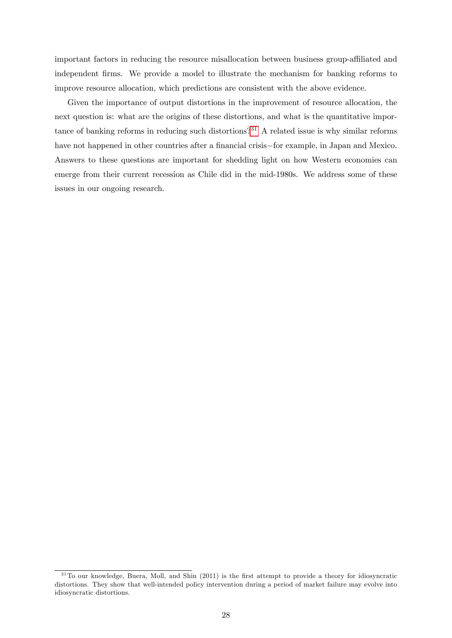important factors in reducing the resource misallocation between business group-affiliated and independent Örms. We provide a model to illustrate the mechanism for banking reforms to improve resource allocation, which predictions are consistent with the above evidence.

Given the importance of output distortions in the improvement of resource allocation, the next question is: what are the origins of these distortions, and what is the quantitative importance of banking reforms in reducing such distortions?[31](#page-28-0) A related issue is why similar reforms have not happened in other countries after a financial crisis-for example, in Japan and Mexico. Answers to these questions are important for shedding light on how Western economies can emerge from their current recession as Chile did in the mid-1980s. We address some of these issues in our ongoing research.

<span id="page-28-0"></span> $31$ To our knowledge, Buera, Moll, and Shin (2011) is the first attempt to provide a theory for idiosyncratic distortions. They show that well-intended policy intervention during a period of market failure may evolve into idiosyncratic distortions.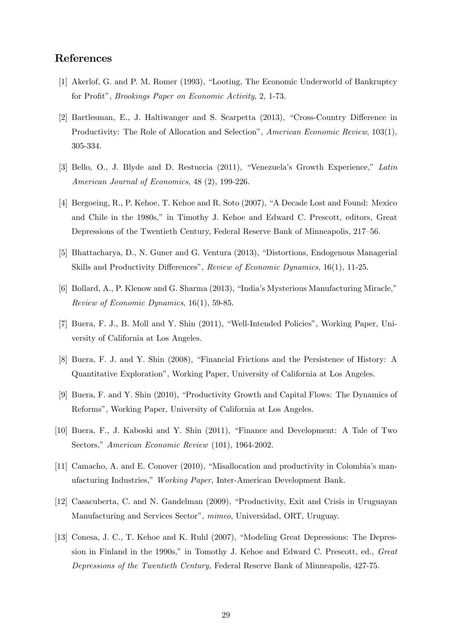# References

- [1] Akerlof, G. and P. M. Romer (1993), "Looting, The Economic Underworld of Bankruptcy for Profit", *Brookings Paper on Economic Activity*, 2, 1-73.
- [2] Bartlesman, E., J. Haltiwanger and S. Scarpetta (2013), "Cross-Country Difference in Productivity: The Role of Allocation and Selection", American Economic Review, 103(1), 305-334.
- [3] Bello, O., J. Blyde and D. Restuccia (2011), "Venezuela's Growth Experience," Latin American Journal of Economics, 48 (2), 199-226.
- [4] Bergoeing, R., P. Kehoe, T. Kehoe and R. Soto (2007), "A Decade Lost and Found: Mexico and Chile in the 1980s," in Timothy J. Kehoe and Edward C. Prescott, editors, Great Depressions of the Twentieth Century, Federal Reserve Bank of Minneapolis, 217–56.
- [5] Bhattacharya, D., N. Guner and G. Ventura (2013), "Distortions, Endogenous Managerial Skills and Productivity Differences", Review of Economic Dynamics,  $16(1)$ ,  $11-25$ .
- $[6]$  Bollard, A., P. Klenow and G. Sharma  $(2013)$ , "India's Mysterious Manufacturing Miracle," Review of Economic Dynamics, 16(1), 59-85.
- [7] Buera, F. J., B. Moll and Y. Shin (2011), "Well-Intended Policies", Working Paper, University of California at Los Angeles.
- [8] Buera, F. J. and Y. Shin (2008), "Financial Frictions and the Persistence of History: A Quantitative Explorationî, Working Paper, University of California at Los Angeles.
- [9] Buera, F. and Y. Shin (2010), "Productivity Growth and Capital Flows: The Dynamics of Reforms", Working Paper, University of California at Los Angeles.
- [10] Buera, F., J. Kaboski and Y. Shin (2011), "Finance and Development: A Tale of Two Sectors," American Economic Review (101), 1964-2002.
- $[11]$  Camacho, A. and E. Conover  $(2010)$ , "Misallocation and productivity in Colombia's manufacturing Industries," Working Paper, Inter-American Development Bank.
- [12] Casacuberta, C. and N. Gandelman (2009), "Productivity, Exit and Crisis in Uruguayan Manufacturing and Services Sector", mimeo, Universidad, ORT, Uruguay.
- [13] Conesa, J. C., T. Kehoe and K. Ruhl (2007), "Modeling Great Depressions: The Depression in Finland in the 1990s," in Tomothy J. Kehoe and Edward C. Prescott, ed., Great Depressions of the Twentieth Century, Federal Reserve Bank of Minneapolis, 427-75.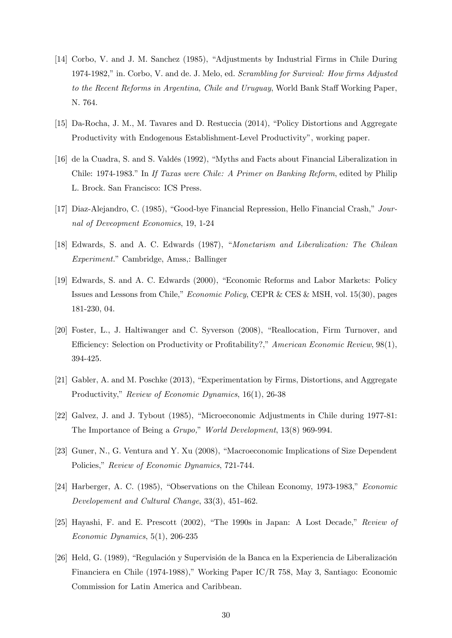- [14] Corbo, V. and J. M. Sanchez (1985), "Adjustments by Industrial Firms in Chile During 1974-1982," in. Corbo, V. and de. J. Melo, ed. Scrambling for Survival: How firms Adjusted to the Recent Reforms in Argentina, Chile and Uruguay, World Bank Staff Working Paper, N. 764.
- [15] Da-Rocha, J. M., M. Tavares and D. Restuccia (2014), "Policy Distortions and Aggregate Productivity with Endogenous Establishment-Level Productivity", working paper.
- [16] de la Cuadra, S. and S. Valdés (1992), "Myths and Facts about Financial Liberalization in Chile: 1974-1983." In If Taxas were Chile: A Primer on Banking Reform, edited by Philip L. Brock. San Francisco: ICS Press.
- [17] Diaz-Alejandro, C. (1985), "Good-bye Financial Repression, Hello Financial Crash,"  $Jour$ nal of Deveopment Economics, 19, 1-24
- [18] Edwards, S. and A. C. Edwards (1987), "Monetarism and Liberalization: The Chilean Experiment." Cambridge, Amss,: Ballinger
- [19] Edwards, S. and A. C. Edwards (2000), "Economic Reforms and Labor Markets: Policy Issues and Lessons from Chile," *Economic Policy*, CEPR  $\&$  CES  $\&$  MSH, vol. 15(30), pages 181-230, 04.
- [20] Foster, L., J. Haltiwanger and C. Syverson (2008), "Reallocation, Firm Turnover, and Efficiency: Selection on Productivity or Profitability?," American Economic Review,  $98(1)$ , 394-425.
- [21] Gabler, A. and M. Poschke  $(2013)$ , "Experimentation by Firms, Distortions, and Aggregate Productivity," Review of Economic Dynamics, 16(1), 26-38
- [22] Galvez, J. and J. Tybout (1985), "Microeconomic Adjustments in Chile during 1977-81: The Importance of Being a Grupo," World Development,  $13(8)$  969-994.
- [23] Guner, N., G. Ventura and Y. Xu (2008), "Macroeconomic Implications of Size Dependent Policies," Review of Economic Dynamics, 721-744.
- [24] Harberger, A. C. (1985), "Observations on the Chilean Economy, 1973-1983," Economic Developement and Cultural Change, 33(3), 451-462.
- [25] Hayashi, F. and E. Prescott (2002), "The 1990s in Japan: A Lost Decade," Review of Economic Dynamics, 5(1), 206-235
- [26] Held, G. (1989), "Regulación y Supervisión de la Banca en la Experiencia de Liberalización Financiera en Chile (1974-1988)," Working Paper IC/R 758, May 3, Santiago: Economic Commission for Latin America and Caribbean.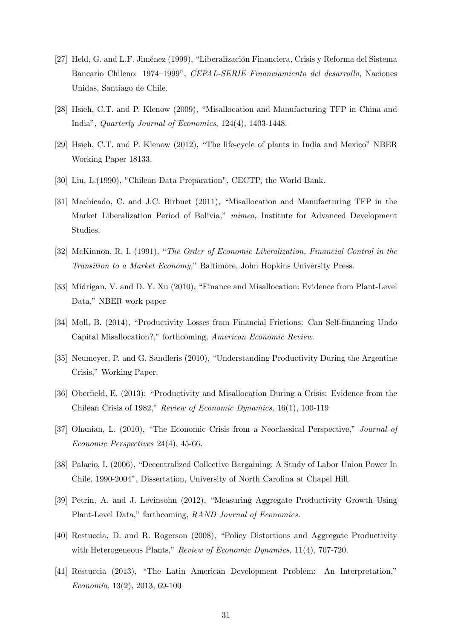- [27] Held, G. and L.F. Jiménez (1999), "Liberalización Financiera, Crisis y Reforma del Sistema Bancario Chileno: 1974-1999", CEPAL-SERIE Financiamiento del desarrollo, Naciones Unidas, Santiago de Chile.
- [28] Hsieh, C.T. and P. Klenow (2009), "Misallocation and Manufacturing TFP in China and Indiaî, Quarterly Journal of Economics, 124(4), 1403-1448.
- [29] Hsieh, C.T. and P. Klenow (2012), "The life-cycle of plants in India and Mexico" NBER Working Paper 18133.
- [30] Liu, L.(1990), "Chilean Data Preparation", CECTP, the World Bank.
- [31] Machicado, C. and J.C. Birbuet (2011), "Misallocation and Manufacturing TFP in the Market Liberalization Period of Bolivia," mimeo, Institute for Advanced Development Studies.
- [32] McKinnon, R. I. (1991), "The Order of Economic Liberalization, Financial Control in the Transition to a Market Economy," Baltimore, John Hopkins University Press.
- [33] Midrigan, V. and D. Y. Xu (2010), "Finance and Misallocation: Evidence from Plant-Level Data," NBER work paper
- [34] Moll, B. (2014), "Productivity Losses from Financial Frictions: Can Self-financing Undo Capital Misallocation?," forthcoming, American Economic Review.
- [35] Neumeyer, P. and G. Sandleris (2010), "Understanding Productivity During the Argentine Crisis," Working Paper.
- [36] Oberfield, E. (2013): "Productivity and Misallocation During a Crisis: Evidence from the Chilean Crisis of 1982," Review of Economic Dynamics,  $16(1)$ , 100-119
- [37] Ohanian, L. (2010), "The Economic Crisis from a Neoclassical Perspective," Journal of Economic Perspectives 24(4), 45-66.
- [38] Palacio, I. (2006), "Decentralized Collective Bargaining: A Study of Labor Union Power In Chile, 1990-2004î, Dissertation, University of North Carolina at Chapel Hill.
- [39] Petrin, A. and J. Levinsohn (2012), "Measuring Aggregate Productivity Growth Using Plant-Level Data," forthcoming, RAND Journal of Economics.
- [40] Restuccia, D. and R. Rogerson (2008), "Policy Distortions and Aggregate Productivity with Heterogeneous Plants," Review of Economic Dynamics,  $11(4)$ , 707-720.
- [41] Restuccia (2013), "The Latin American Development Problem: An Interpretation,"  $Economia, 13(2), 2013, 69-100$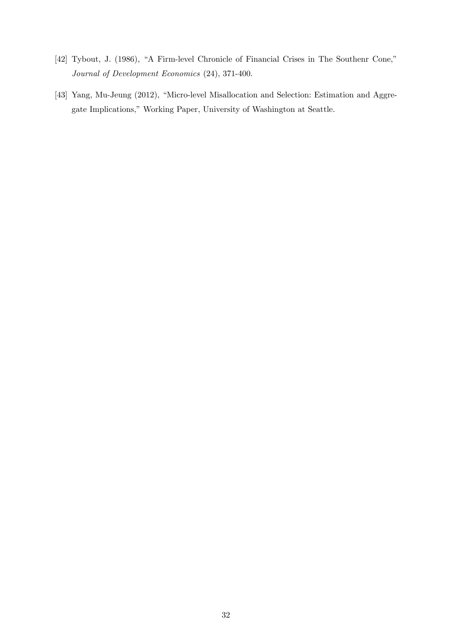- [42] Tybout, J. (1986), "A Firm-level Chronicle of Financial Crises in The Southenr Cone," Journal of Development Economics (24), 371-400.
- [43] Yang, Mu-Jeung (2012), "Micro-level Misallocation and Selection: Estimation and Aggregate Implications," Working Paper, University of Washington at Seattle.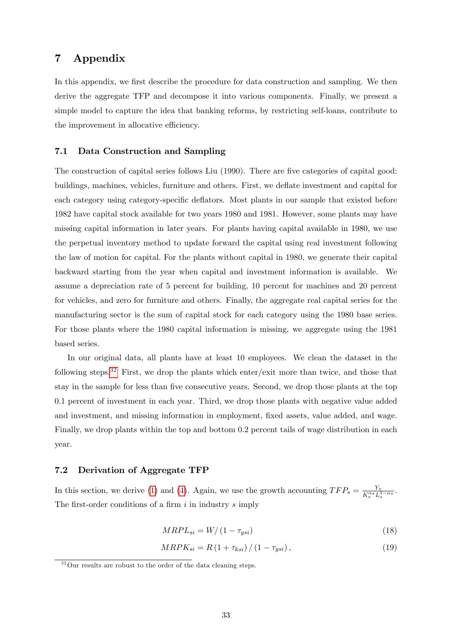# 7 Appendix

In this appendix, we first describe the procedure for data construction and sampling. We then derive the aggregate TFP and decompose it into various components. Finally, we present a simple model to capture the idea that banking reforms, by restricting self-loans, contribute to the improvement in allocative efficiency.

### 7.1 Data Construction and Sampling

The construction of capital series follows Liu (1990). There are five categories of capital good: buildings, machines, vehicles, furniture and others. First, we deflate investment and capital for each category using category-specific deflators. Most plants in our sample that existed before 1982 have capital stock available for two years 1980 and 1981. However, some plants may have missing capital information in later years. For plants having capital available in 1980, we use the perpetual inventory method to update forward the capital using real investment following the law of motion for capital. For the plants without capital in 1980, we generate their capital backward starting from the year when capital and investment information is available. We assume a depreciation rate of 5 percent for building, 10 percent for machines and 20 percent for vehicles, and zero for furniture and others. Finally, the aggregate real capital series for the manufacturing sector is the sum of capital stock for each category using the 1980 base series. For those plants where the 1980 capital information is missing, we aggregate using the 1981 based series.

In our original data, all plants have at least 10 employees. We clean the dataset in the following steps.[32](#page-33-1) First, we drop the plants which enter/exit more than twice, and those that stay in the sample for less than Öve consecutive years. Second, we drop those plants at the top 0.1 percent of investment in each year. Third, we drop those plants with negative value added and investment, and missing information in employment, fixed assets, value added, and wage. Finally, we drop plants within the top and bottom 0.2 percent tails of wage distribution in each year.

# <span id="page-33-0"></span>7.2 Derivation of Aggregate TFP

In this section, we derive [\(1\)](#page-6-1) and [\(4\)](#page-7-0). Again, we use the growth accounting  $TFP_s = \frac{Y_s}{K^{\alpha_s}T_s}$  $\frac{Y_s}{K_s^{\alpha_s}L_s^{1-\alpha_s}}$ . The first-order conditions of a firm  $i$  in industry  $s$  imply

<span id="page-33-2"></span>
$$
MRPL_{si} = W/(1 - \tau_{ysi})
$$
\n<sup>(18)</sup>

$$
MRPK_{si} = R\left(1 + \tau_{ksi}\right) / \left(1 - \tau_{ysi}\right),\tag{19}
$$

<span id="page-33-1"></span> $32$ Our results are robust to the order of the data cleaning steps.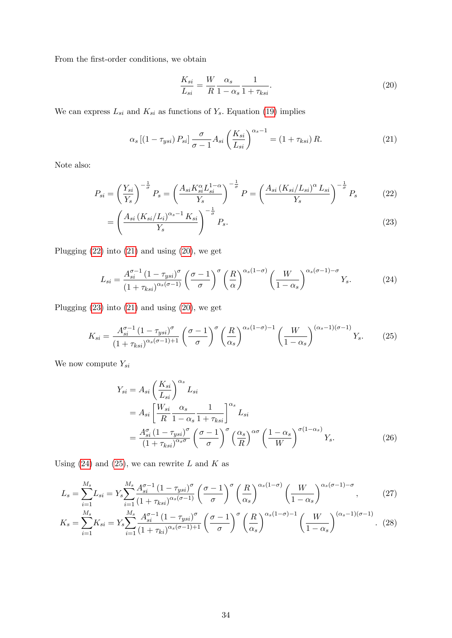From the first-order conditions, we obtain

<span id="page-34-3"></span><span id="page-34-2"></span><span id="page-34-0"></span>
$$
\frac{K_{si}}{L_{si}} = \frac{W}{R} \frac{\alpha_s}{1 - \alpha_s} \frac{1}{1 + \tau_{ksi}}.
$$
\n(20)

We can express  $L_{si}$  and  $K_{si}$  as functions of  $Y_s$ . Equation [\(19\)](#page-33-2) implies

<span id="page-34-1"></span>
$$
\alpha_s \left[ \left( 1 - \tau_{ysi} \right) P_{si} \right] \frac{\sigma}{\sigma - 1} A_{si} \left( \frac{K_{si}}{L_{si}} \right)^{\alpha_s - 1} = \left( 1 + \tau_{ksi} \right) R. \tag{21}
$$

Note also:

$$
P_{si} = \left(\frac{Y_{si}}{Y_s}\right)^{-\frac{1}{\sigma}} P_s = \left(\frac{A_{si} K_{si}^{\alpha} L_{si}^{1-\alpha}}{Y_s}\right)^{-\frac{1}{\sigma}} P = \left(\frac{A_{si} (K_{si}/L_{si})^{\alpha} L_{si}}{Y_s}\right)^{-\frac{1}{\sigma}} P_s \tag{22}
$$

$$
= \left(\frac{A_{si}\left(K_{si}/L_i\right)^{\alpha_s-1}K_{si}}{Y_s}\right)^{-\frac{1}{\sigma}}P_s.
$$
\n
$$
(23)
$$

Plugging [\(22\)](#page-34-0) into [\(21\)](#page-34-1) and using [\(20\)](#page-34-2), we get

<span id="page-34-4"></span>
$$
L_{si} = \frac{A_{si}^{\sigma - 1} (1 - \tau_{ysi})^{\sigma}}{(1 + \tau_{ksi})^{\alpha_s(\sigma - 1)}} \left(\frac{\sigma - 1}{\sigma}\right)^{\sigma} \left(\frac{R}{\alpha}\right)^{\alpha_s(1 - \sigma)} \left(\frac{W}{1 - \alpha_s}\right)^{\alpha_s(\sigma - 1) - \sigma} Y_s.
$$
 (24)

Plugging [\(23\)](#page-34-3) into [\(21\)](#page-34-1) and using [\(20\)](#page-34-2), we get

<span id="page-34-5"></span>
$$
K_{si} = \frac{A_{si}^{\sigma-1} (1 - \tau_{ysi})^{\sigma}}{(1 + \tau_{ksi})^{\alpha_s(\sigma-1)+1}} \left(\frac{\sigma-1}{\sigma}\right)^{\sigma} \left(\frac{R}{\alpha_s}\right)^{\alpha_s(1-\sigma)-1} \left(\frac{W}{1-\alpha_s}\right)^{(\alpha_s-1)(\sigma-1)} Y_s.
$$
 (25)

We now compute  $Y_{si}$ 

<span id="page-34-8"></span><span id="page-34-7"></span><span id="page-34-6"></span>
$$
Y_{si} = A_{si} \left(\frac{K_{si}}{L_{si}}\right)^{\alpha_{s}} L_{si}
$$
  
=  $A_{si} \left[\frac{W_{si}}{R} \frac{\alpha_{s}}{1 - \alpha_{s}} \frac{1}{1 + \tau_{ksi}}\right]^{\alpha_{s}} L_{si}$   
=  $\frac{A_{si}^{\sigma} (1 - \tau_{ysi})^{\sigma}}{(1 + \tau_{ksi})^{\alpha_{s}\sigma}} \left(\frac{\sigma - 1}{\sigma}\right)^{\sigma} \left(\frac{\alpha_{s}}{R}\right)^{\alpha\sigma} \left(\frac{1 - \alpha_{s}}{W}\right)^{\sigma(1 - \alpha_{s})} Y_{s}.$  (26)

Using  $(24)$  and  $(25)$ , we can rewrite L and K as

$$
L_s = \sum_{i=1}^{M_s} L_{si} = Y_s \sum_{i=1}^{M_s} \frac{A_{si}^{\sigma-1} (1 - \tau_{ysi})^{\sigma}}{(1 + \tau_{ksi})^{\alpha_s(\sigma - 1)}} \left(\frac{\sigma - 1}{\sigma}\right)^{\sigma} \left(\frac{R}{\alpha_s}\right)^{\alpha_s(1 - \sigma)} \left(\frac{W}{1 - \alpha_s}\right)^{\alpha_s(\sigma - 1) - \sigma},\tag{27}
$$

$$
K_s = \sum_{i=1}^{M_s} K_{si} = Y_s \sum_{i=1}^{M_s} \frac{A_{si}^{\sigma-1} (1 - \tau_{ysi})^{\sigma}}{(1 + \tau_{ki})^{\alpha_s(\sigma-1)+1}} \left(\frac{\sigma - 1}{\sigma}\right)^{\sigma} \left(\frac{R}{\alpha_s}\right)^{\alpha_s(1 - \sigma) - 1} \left(\frac{W}{1 - \alpha_s}\right)^{(\alpha_s - 1)(\sigma - 1)}.
$$
 (28)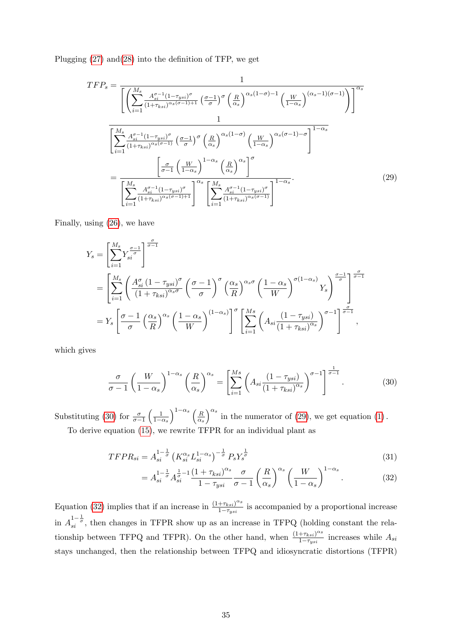Plugging  $(27)$  and  $(28)$  into the definition of TFP, we get

$$
TFP_s = \frac{1}{\left[\left(\sum_{i=1}^{M_s} \frac{A_{si}^{\sigma-1} (1-\tau_{ysi})^{\sigma}}{(1+\tau_{ksi})^{\alpha_s(\sigma-1)+1}} \left(\frac{\sigma-1}{\sigma}\right)^{\sigma} \left(\frac{R}{\alpha_s}\right)^{\alpha_s(1-\sigma)-1} \left(\frac{W}{1-\alpha_s}\right)^{(\alpha_s-1)(\sigma-1)}\right)\right]^{\alpha_s}}
$$
\n
$$
\frac{1}{\left[\sum_{i=1}^{M_s} \frac{A_{si}^{\sigma-1} (1-\tau_{ysi})^{\sigma}}{(1+\tau_{ksi})^{\alpha_s(\sigma-1)}} \left(\frac{\sigma-1}{\sigma}\right)^{\sigma} \left(\frac{R}{\alpha_s}\right)^{\alpha_s(1-\sigma)} \left(\frac{W}{1-\alpha_s}\right)^{\alpha_s(\sigma-1)-\sigma}\right]^{1-\alpha_s}}
$$
\n
$$
= \frac{\left[\frac{\sigma}{\sigma-1} \left(\frac{W}{1-\alpha_s}\right)^{1-\alpha_s} \left(\frac{R}{\alpha_s}\right)^{\alpha_s}\right]^{\sigma}}{\left[\sum_{i=1}^{M_s} \frac{A_{si}^{\sigma-1} (1-\tau_{ysi})^{\sigma}}{(1+\tau_{ksi})^{\alpha_s(\sigma-1)+1}}\right]^{\alpha_s} \left[\sum_{i=1}^{M_s} \frac{A_{si}^{\sigma-1} (1-\tau_{ysi})^{\sigma}}{(1+\tau_{ksi})^{\alpha_s(\sigma-1)}}\right]^{1-\alpha_s}}.
$$
\n(29)

Finally, using [\(26\)](#page-34-8), we have

<span id="page-35-1"></span>
$$
Y_s = \left[\sum_{i=1}^{M_s} Y_{si}^{\frac{\sigma-1}{\sigma}}\right]^{\frac{\sigma}{\sigma-1}}
$$
  
= 
$$
\left[\sum_{i=1}^{M_s} \left(\frac{A_{si}^{\sigma}(1-\tau_{ysi})^{\sigma}}{(1+\tau_{ksi})^{\alpha_s\sigma}} \left(\frac{\sigma-1}{\sigma}\right)^{\sigma} \left(\frac{\alpha_s}{R}\right)^{\alpha_s\sigma} \left(\frac{1-\alpha_s}{W}\right)^{\sigma(1-\alpha_s)} Y_s\right]^{\frac{\sigma-1}{\sigma}}\right]^{\frac{\sigma}{\sigma-1}}
$$
  
= 
$$
Y_s \left[\frac{\sigma-1}{\sigma} \left(\frac{\alpha_s}{R}\right)^{\alpha_s} \left(\frac{1-\alpha_s}{W}\right)^{(1-\alpha_s)}\right]^{\sigma} \left[\sum_{i=1}^{M_s} \left(A_{si} \frac{(1-\tau_{ysi})}{(1+\tau_{ksi})^{\alpha_s}}\right)^{\sigma-1}\right]^{\frac{\sigma}{\sigma-1}},
$$

which gives

<span id="page-35-0"></span>
$$
\frac{\sigma}{\sigma - 1} \left( \frac{W}{1 - \alpha_s} \right)^{1 - \alpha_s} \left( \frac{R}{\alpha_s} \right)^{\alpha_s} = \left[ \sum_{i=1}^{Ms} \left( A_{si} \frac{(1 - \tau_{ysi})}{(1 + \tau_{ksi})^{\alpha_s}} \right)^{\sigma - 1} \right]^{\frac{1}{\sigma - 1}}.
$$
(30)

Substituting [\(30\)](#page-35-0) for  $\frac{\sigma}{\sigma - 1}$  $\begin{pmatrix} 1 \end{pmatrix}$  $1-\alpha_s$  $\bigwedge^{1-\alpha_s}$  (R  $\overline{\alpha_s}$  $\int_{0}^{\alpha_s}$  in the numerator of [\(29\)](#page-35-1), we get equation [\(1\)](#page-6-1). To derive equation [\(15\)](#page-17-1), we rewrite TFPR for an individual plant as

$$
TFPR_{si} = A_{si}^{1-\frac{1}{\sigma}} \left( K_{si}^{\alpha_s} L_{si}^{1-\alpha_s} \right)^{-\frac{1}{\sigma}} P_s Y_s^{\frac{1}{\sigma}}
$$
\n(31)

<span id="page-35-3"></span><span id="page-35-2"></span>
$$
= A_{si}^{1-\frac{1}{\sigma}} A_{si}^{\frac{1}{\sigma}-1} \frac{\left(1+\tau_{ksi}\right)^{\alpha_{s}}}{1-\tau_{ysi}} \frac{\sigma}{\sigma-1} \left(\frac{R}{\alpha_{s}}\right)^{\alpha_{s}} \left(\frac{W}{1-\alpha_{s}}\right)^{1-\alpha_{s}}.
$$
 (32)

Equation [\(32\)](#page-35-2) implies that if an increase in  $\frac{(1+\tau_{ksi})^{\alpha_s}}{1-\tau_{k}}$  $\frac{1+\tau_{ksi}}{1-\tau_{ysis}}$  is accompanied by a proportional increase in  $A_{si}^{1-\frac{1}{\sigma}}$ , then changes in TFPR show up as an increase in TFPQ (holding constant the relationship between TFPQ and TFPR). On the other hand, when  $\frac{(1+\tau_{ksi})^{\alpha_s}}{1-\tau_{k}}$  $\frac{1-\tau_{ksi}}{1-\tau_{ysi}}$  increases while  $A_{si}$ stays unchanged, then the relationship between TFPQ and idiosyncratic distortions (TFPR)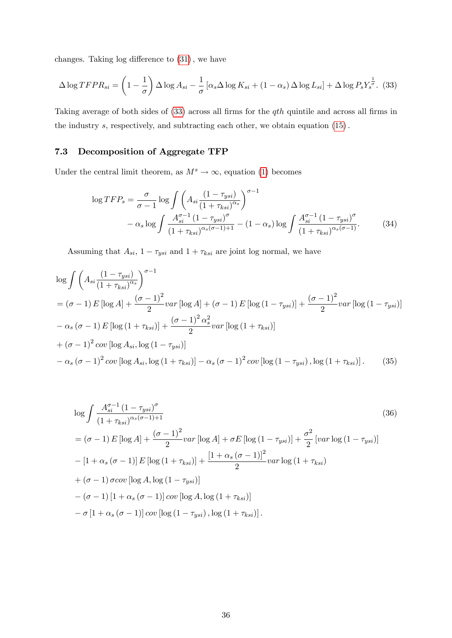changes. Taking  $log$  difference to  $(31)$ , we have

<span id="page-36-1"></span>
$$
\Delta \log T FPR_{si} = \left(1 - \frac{1}{\sigma}\right) \Delta \log A_{si} - \frac{1}{\sigma} \left[\alpha_s \Delta \log K_{si} + (1 - \alpha_s) \Delta \log L_{si}\right] + \Delta \log P_s Y_s^{\frac{1}{\sigma}}.
$$
 (33)

Taking average of both sides of  $(33)$  across all firms for the qth quintile and across all firms in the industry  $s$ , respectively, and subtracting each other, we obtain equation  $(15)$ .

# <span id="page-36-0"></span>7.3 Decomposition of Aggregate TFP

Under the central limit theorem, as  $M^s \to \infty$ , equation [\(1\)](#page-6-1) becomes

<span id="page-36-4"></span>
$$
\log TFP_s = \frac{\sigma}{\sigma - 1} \log \int \left( A_{si} \frac{(1 - \tau_{ysi})}{(1 + \tau_{ksi})^{\alpha_s}} \right)^{\sigma - 1} -\alpha_s \log \int \frac{A_{si}^{\sigma - 1} (1 - \tau_{ysi})^{\sigma}}{(1 + \tau_{ksi})^{\alpha_s (\sigma - 1) + 1}} - (1 - \alpha_s) \log \int \frac{A_{si}^{\sigma - 1} (1 - \tau_{ysi})^{\sigma}}{(1 + \tau_{ksi})^{\alpha_s (\sigma - 1)}}.
$$
(34)

Assuming that  $A_{si}$ ,  $1 - \tau_{ysi}$  and  $1 + \tau_{ksi}$  are joint log normal, we have

$$
\log \int \left( A_{si} \frac{(1 - \tau_{ysi})}{(1 + \tau_{ksi})^{\alpha_s}} \right)^{\sigma - 1} \n= (\sigma - 1) E \left[ \log A \right] + \frac{(\sigma - 1)^2}{2} var \left[ \log A \right] + (\sigma - 1) E \left[ \log (1 - \tau_{ysi}) \right] + \frac{(\sigma - 1)^2}{2} var \left[ \log (1 - \tau_{ysi}) \right] \n- \alpha_s (\sigma - 1) E \left[ \log (1 + \tau_{ksi}) \right] + \frac{(\sigma - 1)^2 \alpha_s^2}{2} var \left[ \log (1 + \tau_{ksi}) \right] \n+ (\sigma - 1)^2 cov \left[ \log A_{si}, \log (1 - \tau_{ysi}) \right] \n- \alpha_s (\sigma - 1)^2 cov \left[ \log A_{si}, \log (1 + \tau_{ksi}) \right] - \alpha_s (\sigma - 1)^2 cov \left[ \log (1 - \tau_{ysi}) , \log (1 + \tau_{ksi}) \right].
$$
\n(35)

<span id="page-36-3"></span><span id="page-36-2"></span>
$$
\log \int \frac{A_{si}^{\sigma-1} (1 - \tau_{ysi})^{\sigma}}{(1 + \tau_{ksi})^{\alpha_s(\sigma-1)+1}} \tag{36}
$$
\n
$$
= (\sigma - 1) E [\log A] + \frac{(\sigma - 1)^2}{2} var [\log A] + \sigma E [\log (1 - \tau_{ysi})] + \frac{\sigma^2}{2} [var \log (1 - \tau_{ysi})]
$$
\n
$$
- [1 + \alpha_s (\sigma - 1)] E [\log (1 + \tau_{ksi})] + \frac{[1 + \alpha_s (\sigma - 1)]^2}{2} var \log (1 + \tau_{ksi})
$$
\n
$$
+ (\sigma - 1) \sigma cov [\log A, \log (1 - \tau_{ysi})]
$$
\n
$$
- (\sigma - 1) [1 + \alpha_s (\sigma - 1)] cov [\log A, \log (1 + \tau_{ksi})]
$$
\n
$$
- \sigma [1 + \alpha_s (\sigma - 1)] cov [\log (1 - \tau_{ysi}), \log (1 + \tau_{ksi})].
$$
\n(36)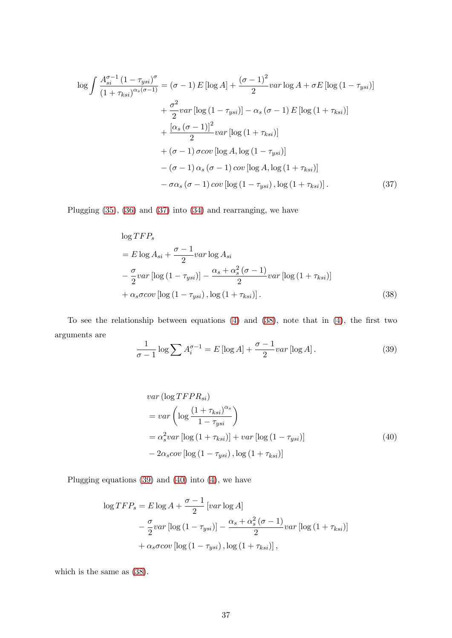$$
\log \int \frac{A_{si}^{\sigma-1} (1 - \tau_{ysi})^{\sigma}}{(1 + \tau_{ksi})^{\alpha_s(\sigma-1)}} = (\sigma - 1) E \left[ \log A \right] + \frac{(\sigma - 1)^2}{2} var \log A + \sigma E \left[ \log (1 - \tau_{ysi}) \right]
$$

$$
+ \frac{\sigma^2}{2} var \left[ \log (1 - \tau_{ysi}) \right] - \alpha_s (\sigma - 1) E \left[ \log (1 + \tau_{ksi}) \right]
$$

$$
+ \frac{\left[ \alpha_s (\sigma - 1) \right]^2}{2} var \left[ \log (1 + \tau_{ksi}) \right]
$$

$$
+ (\sigma - 1) \sigma cov \left[ \log A, \log (1 - \tau_{ysi}) \right]
$$

$$
- (\sigma - 1) \alpha_s (\sigma - 1) cov \left[ \log A, \log (1 + \tau_{ksi}) \right]
$$

$$
- \sigma \alpha_s (\sigma - 1) cov \left[ \log (1 - \tau_{ysi}) , \log (1 + \tau_{ksi}) \right]. \tag{37}
$$

Plugging [\(35\)](#page-36-2), [\(36\)](#page-36-3) and [\(37\)](#page-37-0) into [\(34\)](#page-36-4) and rearranging, we have

<span id="page-37-0"></span>
$$
\log TFP_s
$$
  
=  $E \log A_{si} + \frac{\sigma - 1}{2} \nu \text{ar} \log A_{si}$   

$$
-\frac{\sigma}{2} \nu \text{ar} \left[ \log \left( 1 - \tau_{ysi} \right) \right] - \frac{\alpha_s + \alpha_s^2 (\sigma - 1)}{2} \nu \text{ar} \left[ \log \left( 1 + \tau_{ksi} \right) \right]
$$
  
+  $\alpha_s \sigma \text{cov} \left[ \log \left( 1 - \tau_{ysi} \right), \log \left( 1 + \tau_{ksi} \right) \right].$  (38)

To see the relationship between equations  $(4)$  and  $(38)$ , note that in  $(4)$ , the first two arguments are

<span id="page-37-2"></span><span id="page-37-1"></span>
$$
\frac{1}{\sigma - 1} \log \sum A_i^{\sigma - 1} = E \left[ \log A \right] + \frac{\sigma - 1}{2} \operatorname{var} \left[ \log A \right]. \tag{39}
$$

<span id="page-37-3"></span>
$$
var\left(\log TFPR_{si}\right)
$$
  
=  $var\left(\log \frac{\left(1 + \tau_{ksi}\right)^{\alpha_s}}{1 - \tau_{ysi}}\right)$   
=  $\alpha_s^2 var\left[\log \left(1 + \tau_{ksi}\right)\right] + var\left[\log \left(1 - \tau_{ysi}\right)\right]$   
-  $2\alpha_s cov\left[\log \left(1 - \tau_{ysi}\right), \log \left(1 + \tau_{ksi}\right)\right]$  (40)

Plugging equations [\(39\)](#page-37-2) and [\(40\)](#page-37-3) into [\(4\)](#page-7-0), we have

$$
\log TFP_s = E \log A + \frac{\sigma - 1}{2} \left[ var \log A \right]
$$
  
-  $\frac{\sigma}{2} var \left[ log (1 - \tau_{ysi}) \right] - \frac{\alpha_s + \alpha_s^2 (\sigma - 1)}{2} var \left[ log (1 + \tau_{ksi}) \right]$   
+  $\alpha_s \sigma cov \left[ log (1 - \tau_{ysi}) , log (1 + \tau_{ksi}) \right],$ 

which is the same as [\(38\)](#page-37-1).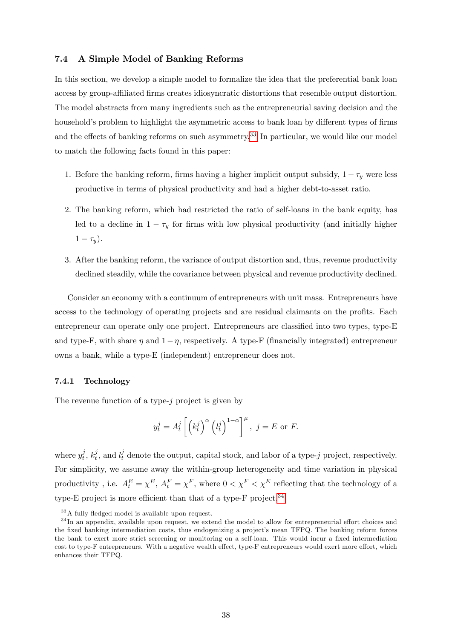### 7.4 A Simple Model of Banking Reforms

In this section, we develop a simple model to formalize the idea that the preferential bank loan access by group-affiliated firms creates idiosyncratic distortions that resemble output distortion. The model abstracts from many ingredients such as the entrepreneurial saving decision and the household's problem to highlight the asymmetric access to bank loan by different types of firms and the effects of banking reforms on such asymmetry.<sup>[33](#page-38-0)</sup> In particular, we would like our model to match the following facts found in this paper:

- 1. Before the banking reform, firms having a higher implicit output subsidy,  $1 \tau_y$  were less productive in terms of physical productivity and had a higher debt-to-asset ratio.
- 2. The banking reform, which had restricted the ratio of self-loans in the bank equity, has led to a decline in  $1 - \tau_y$  for firms with low physical productivity (and initially higher  $1 - \tau_y$ ).
- 3. After the banking reform, the variance of output distortion and, thus, revenue productivity declined steadily, while the covariance between physical and revenue productivity declined.

Consider an economy with a continuum of entrepreneurs with unit mass. Entrepreneurs have access to the technology of operating projects and are residual claimants on the profits. Each entrepreneur can operate only one project. Entrepreneurs are classified into two types, type-E and type-F, with share  $\eta$  and  $1-\eta$ , respectively. A type-F (financially integrated) entrepreneur owns a bank, while a type-E (independent) entrepreneur does not.

### 7.4.1 Technology

The revenue function of a type- $j$  project is given by

$$
y_t^j = A_t^j \left[ \left( k_t^j \right)^{\alpha} \left( l_t^j \right)^{1-\alpha} \right]^{\mu}, \ j = E \text{ or } F.
$$

where  $y_t^j$  $\frac{j}{t}, k_t^j$  $t_t^j$ , and  $l_t^j$  denote the output, capital stock, and labor of a type-j project, respectively. For simplicity, we assume away the within-group heterogeneity and time variation in physical productivity, i.e.  $A_t^E = \chi^E$ ,  $A_t^F = \chi^F$ , where  $0 < \chi^F < \chi^E$  reflecting that the technology of a type-E project is more efficient than that of a type-F project.<sup>[34](#page-38-1)</sup>

<span id="page-38-1"></span><span id="page-38-0"></span> $33A$  fully fledged model is available upon request.

 $34$  In an appendix, available upon request, we extend the model to allow for entrepreneurial effort choices and the fixed banking intermediation costs, thus endogenizing a project's mean TFPQ. The banking reform forces the bank to exert more strict screening or monitoring on a self-loan. This would incur a fixed intermediation cost to type-F entrepreneurs. With a negative wealth effect, type-F entrepreneurs would exert more effort, which enhances their TFPQ.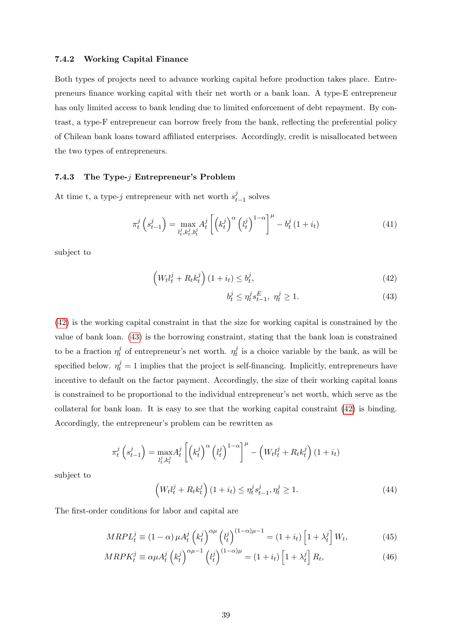#### 7.4.2 Working Capital Finance

Both types of projects need to advance working capital before production takes place. Entrepreneurs Önance working capital with their net worth or a bank loan. A type-E entrepreneur has only limited access to bank lending due to limited enforcement of debt repayment. By contrast, a type-F entrepreneur can borrow freely from the bank, reflecting the preferential policy of Chilean bank loans toward affiliated enterprises. Accordingly, credit is misallocated between the two types of entrepreneurs.

#### 7.4.3 The Type- $j$  Entrepreneur's Problem

At time t, a type-j entrepreneur with net worth  $s_t^j$  $_{t-1}^{\jmath}$  solves

$$
\pi_t^j\left(s_{t-1}^j\right) = \max_{l_t^j, k_t^j, b_t^j} A_t^j \left[ \left(k_t^j\right)^\alpha \left(l_t^j\right)^{1-\alpha} \right]^\mu - b_t^j \left(1+i_t\right) \tag{41}
$$

subject to

$$
\left(W_t l_t^j + R_t k_t^j\right) (1 + i_t) \le b_t^j,\tag{42}
$$

<span id="page-39-1"></span><span id="page-39-0"></span>
$$
b_t^j \le \eta_t^j s_{t-1}^E, \ \eta_t^j \ge 1. \tag{43}
$$

[\(42\)](#page-39-0) is the working capital constraint in that the size for working capital is constrained by the value of bank loan. [\(43\)](#page-39-1) is the borrowing constraint, stating that the bank loan is constrained to be a fraction  $\eta_t^j$  $t \to t$  of entrepreneur's net worth.  $\eta_t^j$  $t<sub>t</sub><sup>j</sup>$  is a choice variable by the bank, as will be specified below.  $\eta_t^j = 1$  implies that the project is self-financing. Implicitly, entrepreneurs have incentive to default on the factor payment. Accordingly, the size of their working capital loans is constrained to be proportional to the individual entrepreneur's net worth, which serve as the collateral for bank loan. It is easy to see that the working capital constraint [\(42\)](#page-39-0) is binding. Accordingly, the entrepreneur's problem can be rewritten as

$$
\pi_t^j\left(s_{t-1}^j\right) = \max_{l_t^j, k_t^j} A_t^j \left[ \left(k_t^j\right)^{\alpha} \left(l_t^j\right)^{1-\alpha} \right]^{\mu} - \left(W_t l_t^j + R_t k_t^j\right) (1+i_t)
$$

subject to

<span id="page-39-4"></span><span id="page-39-3"></span><span id="page-39-2"></span>
$$
\left(W_t l_t^j + R_t k_t^j\right) (1 + i_t) \le \eta_t^j s_{t-1}^j, \eta_t^j \ge 1.
$$
\n(44)

The first-order conditions for labor and capital are

$$
MRPL_t^j \equiv (1 - \alpha) \mu A_t^j \left(k_t^j\right)^{\alpha \mu} \left(l_t^j\right)^{(1 - \alpha)\mu - 1} = (1 + i_t) \left[1 + \lambda_t^j\right] W_t,\tag{45}
$$

$$
MRPK_t^j \equiv \alpha \mu A_t^j \left(k_t^j\right)^{\alpha \mu - 1} \left(l_t^j\right)^{(1 - \alpha)\mu} = (1 + i_t) \left[1 + \lambda_t^j\right] R_t,\tag{46}
$$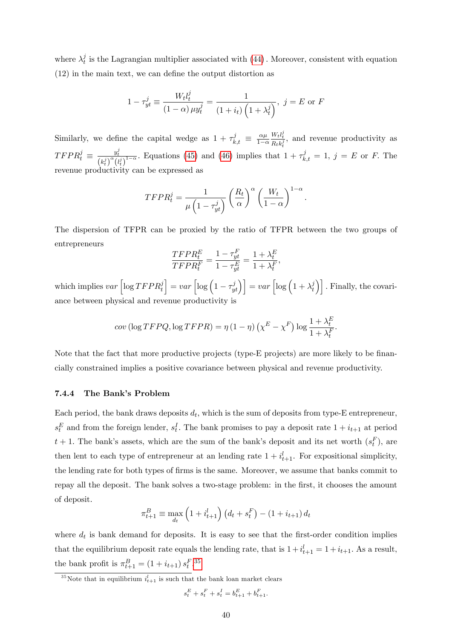where  $\lambda_t^j$  $_t^j$  is the Lagrangian multiplier associated with  $(44)$ . Moreover, consistent with equation  $(12)$  in the main text, we can define the output distortion as

$$
1 - \tau_{yt}^{j} \equiv \frac{W_t l_t^{j}}{(1 - \alpha) \mu y_t^{j}} = \frac{1}{(1 + i_t) \left(1 + \lambda_t^{j}\right)}, \ j = E \text{ or } F
$$

Similarly, we define the capital wedge as  $1 + \tau_{k,t}^j \equiv \frac{\alpha \mu}{1 - \alpha}$  $1-\alpha$  $\frac{W_t l_t^j}{R_t k_t^j}$ , and revenue productivity as  $TFPR_t^j \equiv \frac{y_t^j}{(k_t^j)^{\alpha} (l_t^j)^{1-\alpha}}$ . Equations [\(45\)](#page-39-3) and [\(46\)](#page-39-4) implies that  $1 + \tau_{k,t}^j = 1$ ,  $j = E$  or F. The revenue productivity can be expressed as

$$
TFPR_t^j = \frac{1}{\mu \left(1 - \tau_{yt}^j\right)} \left(\frac{R_t}{\alpha}\right)^{\alpha} \left(\frac{W_t}{1 - \alpha}\right)^{1 - \alpha}.
$$

The dispersion of TFPR can be proxied by the ratio of TFPR between the two groups of entrepreneurs

$$
\frac{TFPR_t^E}{TFPR_t^F} = \frac{1 - \tau_{yt}^F}{1 - \tau_{yt}^E} = \frac{1 + \lambda_t^E}{1 + \lambda_t^F},
$$

which implies  $var\left[ \log T F P R_t^j \right]$  $\left[\cos\left(1-\tau_{yt}^j\right)\right] = var\left[\log\left(1+\lambda_t^j\right)\right]$  $\begin{bmatrix} i \\ t \end{bmatrix}$ . Finally, the covariance between physical and revenue productivity is

$$
cov\left(\log TFPQ, \log TFPR\right) = \eta \left(1 - \eta\right) \left(\chi^E - \chi^F\right) \log \frac{1 + \lambda_t^E}{1 + \lambda_t^F}.
$$

Note that the fact that more productive projects (type- $E$  projects) are more likely to be financially constrained implies a positive covariance between physical and revenue productivity.

### 7.4.4 The Bank's Problem

Each period, the bank draws deposits  $d_t$ , which is the sum of deposits from type-E entrepreneur,  $s_t^E$  and from the foreign lender,  $s_t^I$ . The bank promises to pay a deposit rate  $1 + i_{t+1}$  at period  $t + 1$ . The bank's assets, which are the sum of the bank's deposit and its net worth  $(s_t^F)$ , are then lent to each type of entrepreneur at an lending rate  $1 + i_{t+1}^l$ . For expositional simplicity, the lending rate for both types of firms is the same. Moreover, we assume that banks commit to repay all the deposit. The bank solves a two-stage problem: in the first, it chooses the amount of deposit.

$$
\pi_{t+1}^{B} \equiv \max_{d_t} \left( 1 + i_{t+1}^l \right) \left( d_t + s_t^F \right) - \left( 1 + i_{t+1} \right) d_t
$$

where  $d_t$  is bank demand for deposits. It is easy to see that the first-order condition implies that the equilibrium deposit rate equals the lending rate, that is  $1 + i_{t+1}^l = 1 + i_{t+1}$ . As a result, the bank profit is  $\pi_{t+1}^B = (1 + i_{t+1}) s_t^F$ .<sup>[35](#page-40-0)</sup>

$$
s_t^E + s_t^F + s_t^I = b_{t+1}^E + b_{t+1}^F.
$$

<span id="page-40-0"></span><sup>&</sup>lt;sup>35</sup>Note that in equilibrium  $i_{t+1}^l$  is such that the bank loan market clears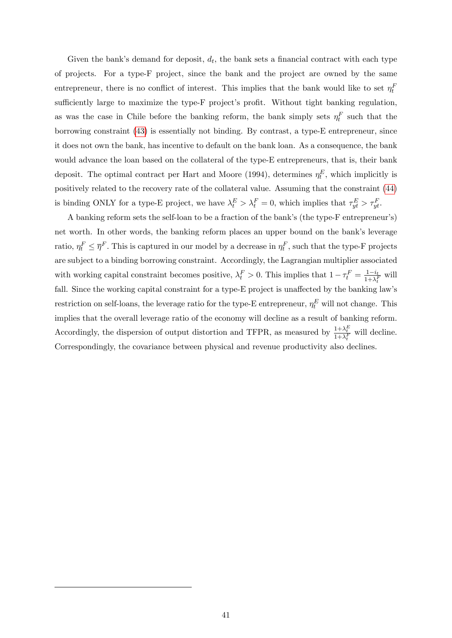Given the bank's demand for deposit,  $d_t$ , the bank sets a financial contract with each type of projects. For a type-F project, since the bank and the project are owned by the same entrepreneur, there is no conflict of interest. This implies that the bank would like to set  $\eta_t^F$ sufficiently large to maximize the type-F project's profit. Without tight banking regulation, as was the case in Chile before the banking reform, the bank simply sets  $\eta_t^F$  such that the borrowing constraint [\(43\)](#page-39-1) is essentially not binding. By contrast, a type-E entrepreneur, since it does not own the bank, has incentive to default on the bank loan. As a consequence, the bank would advance the loan based on the collateral of the type-E entrepreneurs, that is, their bank deposit. The optimal contract per Hart and Moore (1994), determines  $\eta_t^E$ , which implicitly is positively related to the recovery rate of the collateral value. Assuming that the constraint [\(44\)](#page-39-2) is binding ONLY for a type-E project, we have  $\lambda_t^E > \lambda_t^F = 0$ , which implies that  $\tau_{yt}^E > \tau_{yt}^F$ .

A banking reform sets the self-loan to be a fraction of the bank's (the type-F entrepreneur's) net worth. In other words, the banking reform places an upper bound on the bankís leverage ratio,  $\eta_t^F \leq \overline{\eta}^F$ . This is captured in our model by a decrease in  $\eta_t^F$ , such that the type-F projects are subject to a binding borrowing constraint. Accordingly, the Lagrangian multiplier associated with working capital constraint becomes positive,  $\lambda_t^F > 0$ . This implies that  $1 - \tau_t^F = \frac{1 - i_t}{1 + \lambda_t^F}$  will fall. Since the working capital constraint for a type-E project is unaffected by the banking law's restriction on self-loans, the leverage ratio for the type-E entrepreneur,  $\eta_t^E$  will not change. This implies that the overall leverage ratio of the economy will decline as a result of banking reform. Accordingly, the dispersion of output distortion and TFPR, as measured by  $\frac{1+\lambda_t^E}{1+\lambda_t^F}$  will decline. Correspondingly, the covariance between physical and revenue productivity also declines.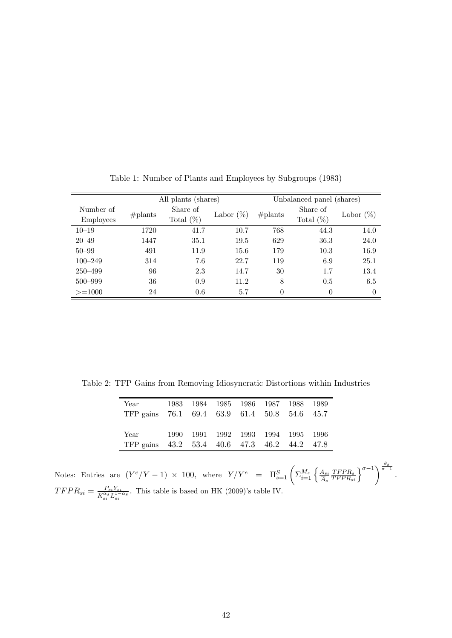|                               | All plants (shares) |                          |              |            | Unbalanced panel (shares) |              |
|-------------------------------|---------------------|--------------------------|--------------|------------|---------------------------|--------------|
| Number of<br><b>Employees</b> | $#$ plants          | Share of<br>Total $(\%)$ | Labor $(\%)$ | $#$ plants | Share of<br>Total $(\%)$  | Labor $(\%)$ |
| $10 - 19$                     | 1720                | 41.7                     | 10.7         | 768        | 44.3                      | 14.0         |
| $20 - 49$                     | 1447                | 35.1                     | 19.5         | 629        | 36.3                      | 24.0         |
| $50 - 99$                     | 491                 | 11.9                     | 15.6         | 179        | 10.3                      | 16.9         |
| $100 - 249$                   | 314                 | 7.6                      | 22.7         | 119        | 6.9                       | 25.1         |
| $250 - 499$                   | 96                  | 2.3                      | 14.7         | 30         | 1.7                       | 13.4         |
| $500 - 999$                   | 36                  | 0.9                      | 11.2         | 8          | 0.5                       | 6.5          |
| $>=1000$                      | 24                  | 0.6                      | 5.7          | $\theta$   | $\theta$                  | $\theta$     |

<span id="page-42-0"></span>Table 1: Number of Plants and Employees by Subgroups (1983)

Table 2: TFP Gains from Removing Idiosyncratic Distortions within Industries

<span id="page-42-1"></span>

| Year<br>TFP gains 76.1 69.4 63.9 61.4 50.8 54.6 45.7 | 1983 |  |  | 1984 1985 1986 1987 1988 1989      |  |
|------------------------------------------------------|------|--|--|------------------------------------|--|
| Year<br>TFP gains 43.2 53.4 40.6 47.3 46.2 44.2 47.8 |      |  |  | 1990 1991 1992 1993 1994 1995 1996 |  |

Notes: Entries are  $(Y^e/Y-1) \times 100$ , where  $Y/Y^e = \Pi_{s=1}^S \left( \sum_{i=1}^{M_s} \left\{ \frac{A_{si}}{A_s} \right\} \right)$  $A_s$  $\frac{\overline{TFPR_s}}{\overline{TFPR_{si}}}$  $\rbrace^{\sigma-1}$  $\rbrace^{\frac{\theta_s}{\sigma-1}}$ .  $TFPR_{si} = \frac{P_{si}Y_{si}}{K^{\alpha s}L^{1-\alpha}}$  $\frac{P_{si}Y_{si}}{K_{si}^{\alpha}L_{si}^{1-\alpha s}}$ . This table is based on HK (2009)'s table IV.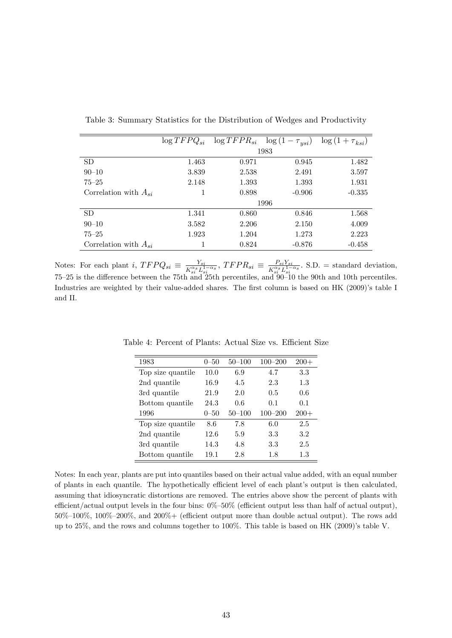|                           | $\log TFPQ_{si}$ | $\log TFPR_{si}$ | $\log(1)$<br>$-\tau_{\textit{usi}})$ | $\log(1+\tau_{ksi})$ |
|---------------------------|------------------|------------------|--------------------------------------|----------------------|
|                           |                  |                  | 1983                                 |                      |
| <b>SD</b>                 | 1.463            | 0.971            | 0.945                                | 1.482                |
| $90 - 10$                 | 3.839            | 2.538            | 2.491                                | 3.597                |
| $75 - 25$                 | 2.148            | 1.393            | 1.393                                | 1.931                |
| Correlation with $A_{si}$ |                  | 0.898            | $-0.906$                             | $-0.335$             |
|                           |                  |                  | 1996                                 |                      |
| <b>SD</b>                 | 1.341            | 0.860            | 0.846                                | 1.568                |
| $90 - 10$                 | 3.582            | 2.206            | 2.150                                | 4.009                |
| $75 - 25$                 | 1.923            | 1.204            | 1.273                                | 2.223                |
| Correlation with $A_{si}$ |                  | 0.824            | $-0.876$                             | $-0.458$             |

<span id="page-43-0"></span>Table 3: Summary Statistics for the Distribution of Wedges and Productivity

Notes: For each plant i,  $TFPQ_{si} \equiv \frac{Y_{si}}{K_{si}^{\alpha s}L_s^1}$  $\frac{Y_{si}}{K_{si}^{\alpha_s}L_{si}^{1-\alpha_s}}$ ,  $TFPR_{si} \equiv \frac{P_{si}Y_{si}}{K_{si}^{\alpha_s}L_{si}^{1-\alpha_s}}$  $\frac{F_{si}Y_{si}}{K_{si}^{\alpha}L_{si}^{1-\alpha_{s}}}$ . S.D. = standard deviation,  $75-25$  is the difference between the 75th and 25th percentiles, and  $90-10$  the 90th and 10th percentiles. Industries are weighted by their value-added shares. The first column is based on HK (2009)'s table I and II.

<span id="page-43-1"></span>

| 1983              | $0 - 50$ | $50 - 100$ | $100 - 200$ | $200+$ |
|-------------------|----------|------------|-------------|--------|
| Top size quantile | 10.0     | 6.9        | 4.7         | 3.3    |
| 2nd quantile      | 16.9     | 4.5        | 2.3         | 1.3    |
| 3rd quantile      | 21.9     | 2.0        | 0.5         | 0.6    |
| Bottom quantile   | 24.3     | 0.6        | 0.1         | 0.1    |
|                   |          |            |             |        |
| 1996              | $0 - 50$ | $50 - 100$ | $100 - 200$ | $200+$ |
| Top size quantile | 8.6      | 7.8        | 6.0         | 2.5    |
| 2nd quantile      | 12.6     | 5.9        | 3.3         | 3.2    |
| 3rd quantile      | 14.3     | 4.8        | 3.3         | 2.5    |

Table 4: Percent of Plants: Actual Size vs. Efficient Size

Notes: In each year, plants are put into quantiles based on their actual value added, with an equal number of plants in each quantile. The hypothetically efficient level of each plant's output is then calculated, assuming that idiosyncratic distortions are removed. The entries above show the percent of plants with efficient/actual output levels in the four bins:  $0\%$ -50% (efficient output less than half of actual output),  $50\%$ – $100\%$ ,  $100\%$ – $200\%$ , and  $200\%$ + (efficient output more than double actual output). The rows add up to  $25\%$ , and the rows and columns together to  $100\%$ . This table is based on HK (2009)'s table V.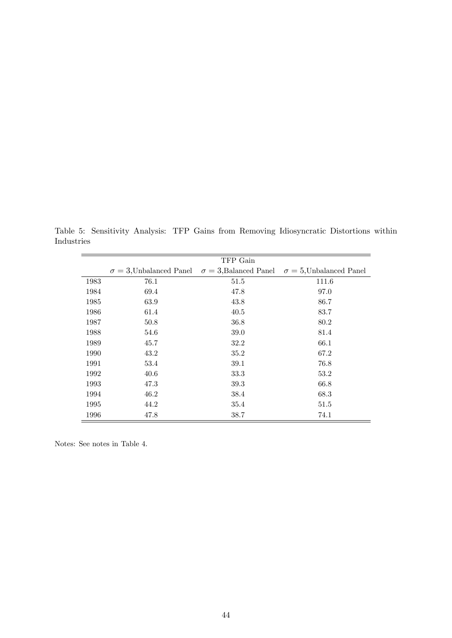Table 5: Sensitivity Analysis: TFP Gains from Removing Idiosyncratic Distortions within Industries

<span id="page-44-0"></span>

|      |      | TFP Gain |                                                                                               |
|------|------|----------|-----------------------------------------------------------------------------------------------|
|      |      |          | $\sigma = 3$ , Unbalanced Panel $\sigma = 3$ , Balanced Panel $\sigma = 5$ , Unbalanced Panel |
| 1983 | 76.1 | 51.5     | 111.6                                                                                         |
| 1984 | 69.4 | 47.8     | 97.0                                                                                          |
| 1985 | 63.9 | 43.8     | 86.7                                                                                          |
| 1986 | 61.4 | 40.5     | 83.7                                                                                          |
| 1987 | 50.8 | 36.8     | 80.2                                                                                          |
| 1988 | 54.6 | 39.0     | 81.4                                                                                          |
| 1989 | 45.7 | 32.2     | 66.1                                                                                          |
| 1990 | 43.2 | 35.2     | 67.2                                                                                          |
| 1991 | 53.4 | 39.1     | 76.8                                                                                          |
| 1992 | 40.6 | 33.3     | 53.2                                                                                          |
| 1993 | 47.3 | 39.3     | 66.8                                                                                          |
| 1994 | 46.2 | 38.4     | 68.3                                                                                          |
| 1995 | 44.2 | 35.4     | 51.5                                                                                          |
| 1996 | 47.8 | 38.7     | 74.1                                                                                          |

Notes: See notes in Table 4.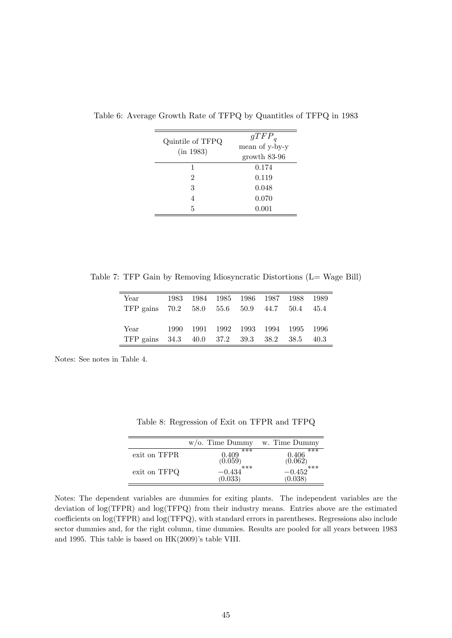<span id="page-45-0"></span>

| Quintile of TFPQ<br>(in 1983) | $gTFP_q$<br>mean of y-by-y<br>growth 83-96 |
|-------------------------------|--------------------------------------------|
| 1                             | 0.174                                      |
| 2                             | 0.119                                      |
| 3                             | 0.048                                      |
| 4                             | 0.070                                      |
| 5                             | 0.001                                      |

Table 6: Average Growth Rate of TFPQ by Quantitles of TFPQ in 1983

Table 7: TFP Gain by Removing Idiosyncratic Distortions (L= Wage Bill)

<span id="page-45-2"></span>

| Year<br>TFP gains $70.2$ $58.0$ $55.6$ $50.9$ $44.7$ $50.4$ |  |  | 1983 1984 1985 1986 1987 1988 1989 | 45.4 |
|-------------------------------------------------------------|--|--|------------------------------------|------|
| Year<br>TFP gains 34.3 40.0 37.2 39.3 38.2 38.5             |  |  | 1990 1991 1992 1993 1994 1995 1996 | 40.3 |

Notes: See notes in Table 4.

<span id="page-45-1"></span>Table 8: Regression of Exit on TFPR and TFPQ

|              | $w$ /o. Time Dummy      | w. Time Dummy           |
|--------------|-------------------------|-------------------------|
| exit on TFPR | ***<br>0.409            | ***<br>0.406            |
| exit on TFPQ | (0.059)<br>$-0.434$ *** | (0.062)<br>$-0.452$ *** |
|              | (0.033)                 | (0.038)                 |

Notes: The dependent variables are dummies for exiting plants. The independent variables are the deviation of log(TFPR) and log(TFPQ) from their industry means. Entries above are the estimated coefficients on  $log(TFPR)$  and  $log(TFPQ)$ , with standard errors in parentheses. Regressions also include sector dummies and, for the right column, time dummies. Results are pooled for all years between 1983 and 1995. This table is based on  $HK(2009)$ 's table VIII.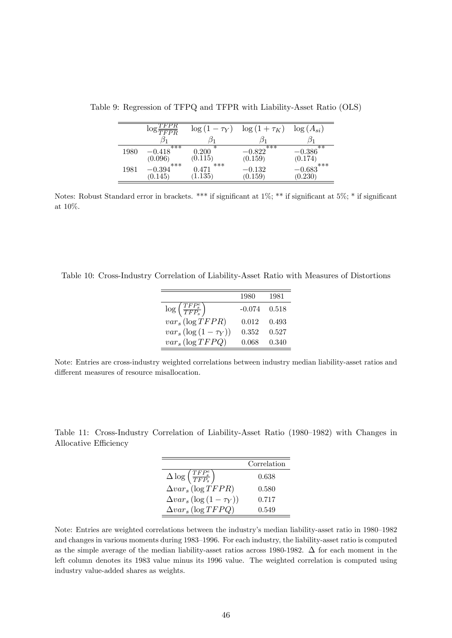<span id="page-46-0"></span>

| $(A_{si})$ | $\log($  | $\log(1+\tau_K)$   | $\log(1-\tau_Y)$         | FPR<br>$\overline{TFPR}$  |      |
|------------|----------|--------------------|--------------------------|---------------------------|------|
|            |          |                    |                          |                           |      |
| ∗∗         | $-0.386$ | ***<br>$-0.822$    | $0.200\,$                | ***<br>$-0.418$           | 1980 |
| ***        | (0.174)  |                    |                          |                           |      |
|            | $-0.683$ | $-0.132\,$         | 0.471                    | 0.394                     | 1981 |
|            | (0.230)  | (0.159)<br>(0.159) | (0.115)<br>***<br>1.135) | (0.096)<br>***<br>(0.145) |      |

Table 9: Regression of TFPQ and TFPR with Liability-Asset Ratio (OLS)

Notes: Robust Standard error in brackets. \*\*\* if significant at 1%; \*\* if significant at 5%; \* if significant at 10%.

<span id="page-46-1"></span>Table 10: Cross-Industry Correlation of Liability-Asset Ratio with Measures of Distortions

|                                          | 1980     | 1981  |
|------------------------------------------|----------|-------|
| $\log\left(\frac{TFP_s^e}{TFP_s}\right)$ | $-0.074$ | 0.518 |
| $var_s$ (log TFPR)                       | 0.012    | 0.493 |
| $var_s(\log(1-\tau_Y))$                  | 0.352    | 0.527 |
| $var_s$ (log $TFPQ$ )                    | 0.068    | 0.340 |

Note: Entries are cross-industry weighted correlations between industry median liability-asset ratios and  $differential$  measures of resource misallocation.

<span id="page-46-2"></span>Table 11: Cross-Industry Correlation of Liability-Asset Ratio (1980–1982) with Changes in Allocative Efficiency

|                                                              | Correlation |
|--------------------------------------------------------------|-------------|
| $\Delta \log \left ( \frac{TFP_s^e}{TFP_s} \right )$         | 0.638       |
| $\Delta var_s$ (log TFPR)                                    | 0.580       |
| $\Delta var_s \left( \log \left( 1 - \tau_Y \right) \right)$ | 0.717       |
| $\Delta var_s$ (log TFPQ)                                    | 0.549       |

Note: Entries are weighted correlations between the industry's median liability-asset ratio in 1980–1982 and changes in various moments during 1983–1996. For each industry, the liability-asset ratio is computed as the simple average of the median liability-asset ratios across 1980-1982.  $\Delta$  for each moment in the left column denotes its 1983 value minus its 1996 value. The weighted correlation is computed using industry value-added shares as weights.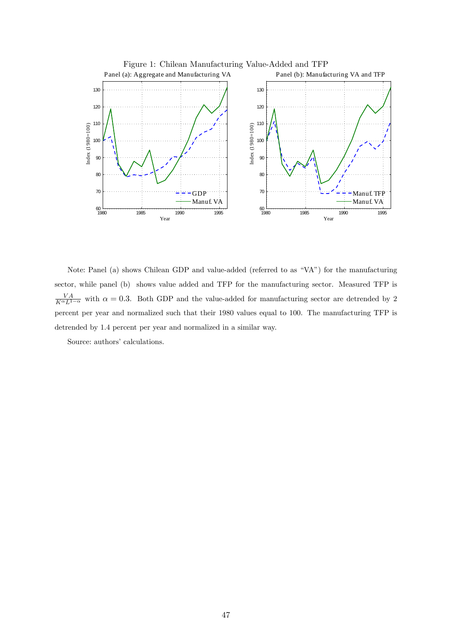<span id="page-47-0"></span>

Note: Panel (a) shows Chilean GDP and value-added (referred to as "VA") for the manufacturing sector, while panel (b) shows value added and TFP for the manufacturing sector. Measured TFP is  $\frac{VA}{K^{\alpha}L^{1-\alpha}}$  with  $\alpha = 0.3$ . Both GDP and the value-added for manufacturing sector are detrended by 2 percent per year and normalized such that their 1980 values equal to 100. The manufacturing TFP is detrended by 1.4 percent per year and normalized in a similar way.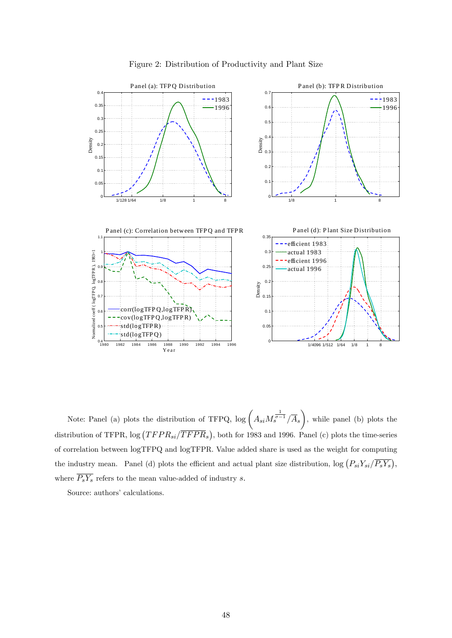

<span id="page-48-0"></span>Figure 2: Distribution of Productivity and Plant Size

Note: Panel (a) plots the distribution of TFPQ,  $\log \left( A_{si} M_s^{\frac{1}{\sigma-1}} / \overline{A}_s \right)$  $\setminus$ , while panel (b) plots the distribution of TFPR,  $\log (TFPR_{si}/\overline{TFPR}_{s})$ , both for 1983 and 1996. Panel (c) plots the time-series of correlation between logTFPQ and logTFPR. Value added share is used as the weight for computing the industry mean. Panel (d) plots the efficient and actual plant size distribution,  $\log (P_{si}Y_{si}/\overline{P_sY_s})$ , where  $\overline{P_s Y_s}$  refers to the mean value-added of industry s.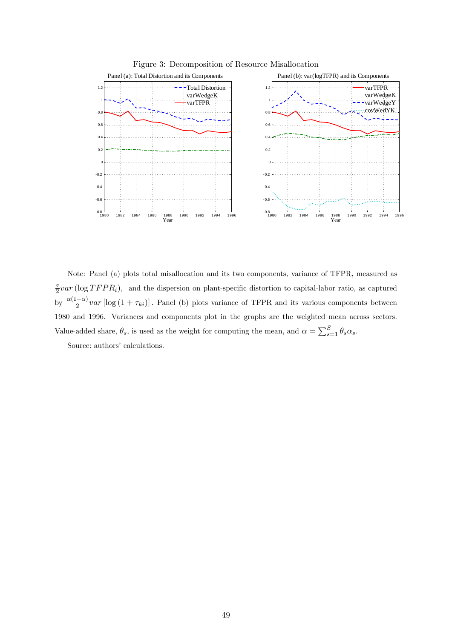

<span id="page-49-0"></span>Figure 3: Decomposition of Resource Misallocation

Note: Panel (a) plots total misallocation and its two components, variance of TFPR, measured as  $\sigma$  $\frac{\sigma}{2}var\left(\log TFPR_i\right)$ , and the dispersion on plant-specific distortion to capital-labor ratio, as captured by  $\frac{\alpha(1-\alpha)}{2}var\left[\log(1+\tau_{ki})\right]$ . Panel (b) plots variance of TFPR and its various components between 1980 and 1996. Variances and components plot in the graphs are the weighted mean across sectors. Value-added share,  $\theta_s$ , is used as the weight for computing the mean, and  $\alpha = \sum_{s=1}^{S} \theta_s \alpha_s$ .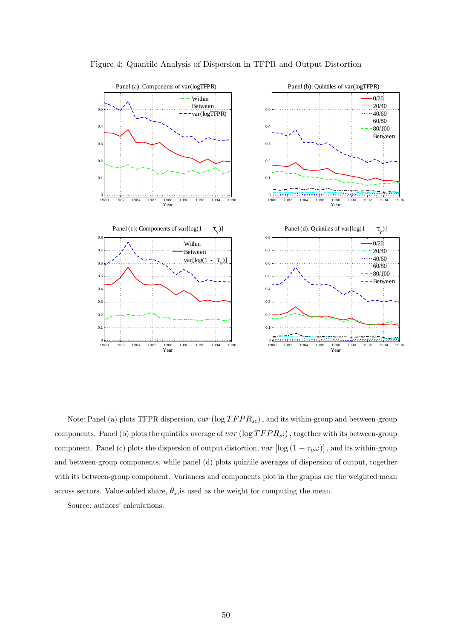

<span id="page-50-0"></span>Figure 4: Quantile Analysis of Dispersion in TFPR and Output Distortion

Note: Panel (a) plots TFPR dispersion,  $var(\log TFPR_{si})$ , and its within-group and between-group components. Panel (b) plots the quintiles average of  $var(\log TFPR_{si})$ , together with its between-group component. Panel (c) plots the dispersion of output distortion,  $var\left[log(1 - \tau_{ysi})\right]$ , and its within-group and between-group components, while panel (d) plots quintile averages of dispersion of output, together with its between-group component. Variances and components plot in the graphs are the weighted mean across sectors. Value-added share,  $\theta_s$ , is used as the weight for computing the mean.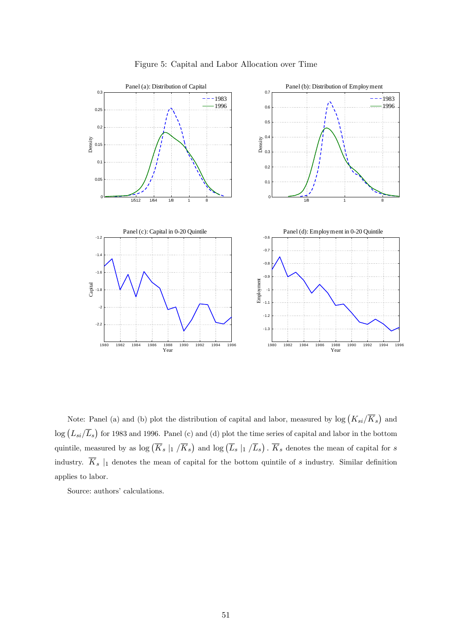

<span id="page-51-0"></span>Figure 5: Capital and Labor Allocation over Time

Note: Panel (a) and (b) plot the distribution of capital and labor, measured by  $\log (K_{si}/\overline{K}_s)$  and  $\log (L_{si}/\overline{L}_s)$  for 1983 and 1996. Panel (c) and (d) plot the time series of capital and labor in the bottom quintile, measured by as  $\log (\overline{K}_s \mid_1/\overline{K}_s)$  and  $\log (\overline{L}_s \mid_1/\overline{L}_s)$ .  $\overline{K}_s$  denotes the mean of capital for s industry.  $\overline{K}_s$  |1 denotes the mean of capital for the bottom quintile of s industry. Similar definition applies to labor.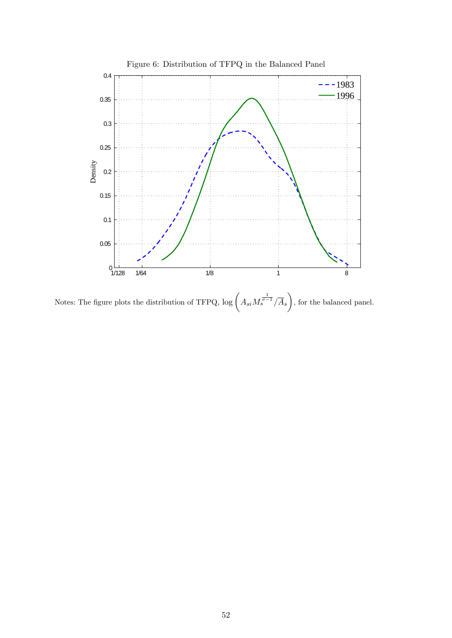<span id="page-52-0"></span>

Notes: The figure plots the distribution of TFPQ,  $\log \left( A_{si} M_s^{\frac{1}{\sigma-1}} / \overline{A}_s \right)$  $\setminus$ , for the balanced panel.